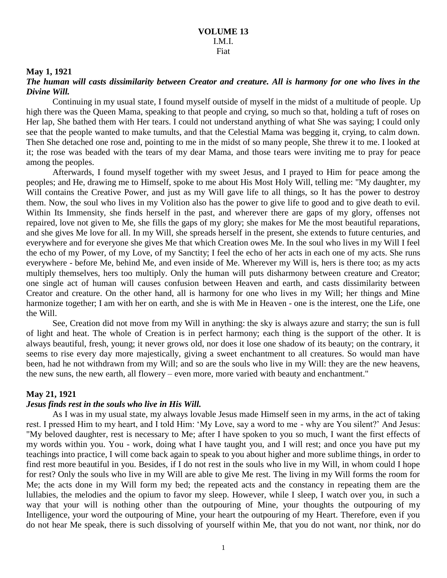### **May 1, 1921**

## *The human will casts dissimilarity between Creator and creature. All is harmony for one who lives in the Divine Will.*

Continuing in my usual state, I found myself outside of myself in the midst of a multitude of people. Up high there was the Queen Mama, speaking to that people and crying, so much so that, holding a tuft of roses on Her lap, She bathed them with Her tears. I could not understand anything of what She was saying; I could only see that the people wanted to make tumults, and that the Celestial Mama was begging it, crying, to calm down. Then She detached one rose and, pointing to me in the midst of so many people, She threw it to me. I looked at it; the rose was beaded with the tears of my dear Mama, and those tears were inviting me to pray for peace among the peoples.

Afterwards, I found myself together with my sweet Jesus, and I prayed to Him for peace among the peoples; and He, drawing me to Himself, spoke to me about His Most Holy Will, telling me: "My daughter, my Will contains the Creative Power, and just as my Will gave life to all things, so It has the power to destroy them. Now, the soul who lives in my Volition also has the power to give life to good and to give death to evil. Within Its Immensity, she finds herself in the past, and wherever there are gaps of my glory, offenses not repaired, love not given to Me, she fills the gaps of my glory; she makes for Me the most beautiful reparations, and she gives Me love for all. In my Will, she spreads herself in the present, she extends to future centuries, and everywhere and for everyone she gives Me that which Creation owes Me. In the soul who lives in my Will I feel the echo of my Power, of my Love, of my Sanctity; I feel the echo of her acts in each one of my acts. She runs everywhere - before Me, behind Me, and even inside of Me. Wherever my Will is, hers is there too; as my acts multiply themselves, hers too multiply. Only the human will puts disharmony between creature and Creator; one single act of human will causes confusion between Heaven and earth, and casts dissimilarity between Creator and creature. On the other hand, all is harmony for one who lives in my Will; her things and Mine harmonize together; I am with her on earth, and she is with Me in Heaven - one is the interest, one the Life, one the Will.

See, Creation did not move from my Will in anything: the sky is always azure and starry; the sun is full of light and heat. The whole of Creation is in perfect harmony; each thing is the support of the other. It is always beautiful, fresh, young; it never grows old, nor does it lose one shadow of its beauty; on the contrary, it seems to rise every day more majestically, giving a sweet enchantment to all creatures. So would man have been, had he not withdrawn from my Will; and so are the souls who live in my Will: they are the new heavens, the new suns, the new earth, all flowery – even more, more varied with beauty and enchantment."

## **May 21, 1921**

#### *Jesus finds rest in the souls who live in His Will.*

As I was in my usual state, my always lovable Jesus made Himself seen in my arms, in the act of taking rest. I pressed Him to my heart, and I told Him: 'My Love, say a word to me - why are You silent?' And Jesus: "My beloved daughter, rest is necessary to Me; after I have spoken to you so much, I want the first effects of my words within you. You - work, doing what I have taught you, and I will rest; and once you have put my teachings into practice, I will come back again to speak to you about higher and more sublime things, in order to find rest more beautiful in you. Besides, if I do not rest in the souls who live in my Will, in whom could I hope for rest? Only the souls who live in my Will are able to give Me rest. The living in my Will forms the room for Me; the acts done in my Will form my bed; the repeated acts and the constancy in repeating them are the lullabies, the melodies and the opium to favor my sleep. However, while I sleep, I watch over you, in such a way that your will is nothing other than the outpouring of Mine, your thoughts the outpouring of my Intelligence, your word the outpouring of Mine, your heart the outpouring of my Heart. Therefore, even if you do not hear Me speak, there is such dissolving of yourself within Me, that you do not want, nor think, nor do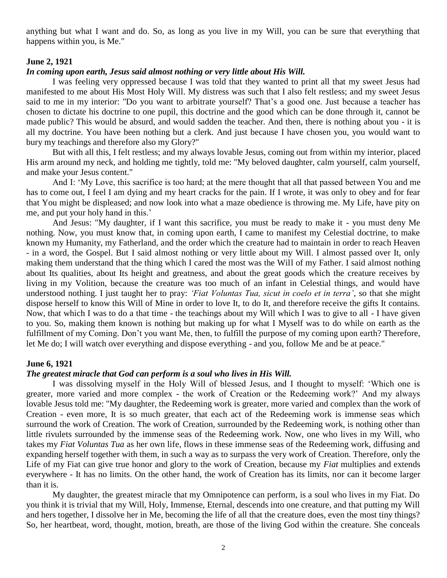anything but what I want and do. So, as long as you live in my Will, you can be sure that everything that happens within you, is Me."

## **June 2, 1921**

### *In coming upon earth, Jesus said almost nothing or very little about His Will.*

I was feeling very oppressed because I was told that they wanted to print all that my sweet Jesus had manifested to me about His Most Holy Will. My distress was such that I also felt restless; and my sweet Jesus said to me in my interior: "Do you want to arbitrate yourself? That's a good one. Just because a teacher has chosen to dictate his doctrine to one pupil, this doctrine and the good which can be done through it, cannot be made public? This would be absurd, and would sadden the teacher. And then, there is nothing about you - it is all my doctrine. You have been nothing but a clerk. And just because I have chosen you, you would want to bury my teachings and therefore also my Glory?"

But with all this, I felt restless; and my always lovable Jesus, coming out from within my interior, placed His arm around my neck, and holding me tightly, told me: "My beloved daughter, calm yourself, calm yourself, and make your Jesus content."

And I: 'My Love, this sacrifice is too hard; at the mere thought that all that passed between You and me has to come out, I feel I am dying and my heart cracks for the pain. If I wrote, it was only to obey and for fear that You might be displeased; and now look into what a maze obedience is throwing me. My Life, have pity on me, and put your holy hand in this.'

And Jesus: "My daughter, if I want this sacrifice, you must be ready to make it - you must deny Me nothing. Now, you must know that, in coming upon earth, I came to manifest my Celestial doctrine, to make known my Humanity, my Fatherland, and the order which the creature had to maintain in order to reach Heaven - in a word, the Gospel. But I said almost nothing or very little about my Will. I almost passed over It, only making them understand that the thing which I cared the most was the Will of my Father. I said almost nothing about Its qualities, about Its height and greatness, and about the great goods which the creature receives by living in my Volition, because the creature was too much of an infant in Celestial things, and would have understood nothing. I just taught her to pray: *'Fiat Voluntas Tua, sicut in coelo et in terra'*, so that she might dispose herself to know this Will of Mine in order to love It, to do It, and therefore receive the gifts It contains. Now, that which I was to do a that time - the teachings about my Will which I was to give to all - I have given to you. So, making them known is nothing but making up for what I Myself was to do while on earth as the fulfillment of my Coming. Don't you want Me, then, to fulfill the purpose of my coming upon earth? Therefore, let Me do; I will watch over everything and dispose everything - and you, follow Me and be at peace."

#### **June 6, 1921**

## *The greatest miracle that God can perform is a soul who lives in His Will.*

I was dissolving myself in the Holy Will of blessed Jesus, and I thought to myself: 'Which one is greater, more varied and more complex - the work of Creation or the Redeeming work?' And my always lovable Jesus told me: "My daughter, the Redeeming work is greater, more varied and complex than the work of Creation - even more, It is so much greater, that each act of the Redeeming work is immense seas which surround the work of Creation. The work of Creation, surrounded by the Redeeming work, is nothing other than little rivulets surrounded by the immense seas of the Redeeming work. Now, one who lives in my Will, who takes my *Fiat Voluntas Tua* as her own life, flows in these immense seas of the Redeeming work, diffusing and expanding herself together with them, in such a way as to surpass the very work of Creation. Therefore, only the Life of my Fiat can give true honor and glory to the work of Creation, because my *Fiat* multiplies and extends everywhere - It has no limits. On the other hand, the work of Creation has its limits, nor can it become larger than it is.

My daughter, the greatest miracle that my Omnipotence can perform, is a soul who lives in my Fiat. Do you think it is trivial that my Will, Holy, Immense, Eternal, descends into one creature, and that putting my Will and hers together, I dissolve her in Me, becoming the life of all that the creature does, even the most tiny things? So, her heartbeat, word, thought, motion, breath, are those of the living God within the creature. She conceals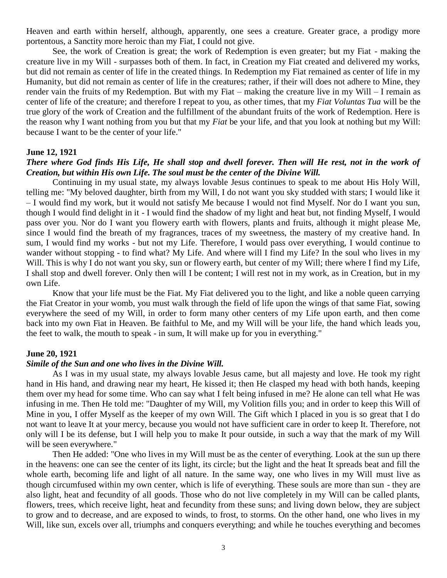Heaven and earth within herself, although, apparently, one sees a creature. Greater grace, a prodigy more portentous, a Sanctity more heroic than my Fiat, I could not give.

See, the work of Creation is great; the work of Redemption is even greater; but my Fiat - making the creature live in my Will - surpasses both of them. In fact, in Creation my Fiat created and delivered my works, but did not remain as center of life in the created things. In Redemption my Fiat remained as center of life in my Humanity, but did not remain as center of life in the creatures; rather, if their will does not adhere to Mine, they render vain the fruits of my Redemption. But with my Fiat – making the creature live in my Will – I remain as center of life of the creature; and therefore I repeat to you, as other times, that my *Fiat Voluntas Tua* will be the true glory of the work of Creation and the fulfillment of the abundant fruits of the work of Redemption. Here is the reason why I want nothing from you but that my *Fiat* be your life, and that you look at nothing but my Will: because I want to be the center of your life."

### **June 12, 1921**

## *There where God finds His Life, He shall stop and dwell forever. Then will He rest, not in the work of Creation, but within His own Life. The soul must be the center of the Divine Will.*

Continuing in my usual state, my always lovable Jesus continues to speak to me about His Holy Will, telling me: "My beloved daughter, birth from my Will, I do not want you sky studded with stars; I would like it – I would find my work, but it would not satisfy Me because I would not find Myself. Nor do I want you sun, though I would find delight in it - I would find the shadow of my light and heat but, not finding Myself, I would pass over you. Nor do I want you flowery earth with flowers, plants and fruits, although it might please Me, since I would find the breath of my fragrances, traces of my sweetness, the mastery of my creative hand. In sum, I would find my works - but not my Life. Therefore, I would pass over everything, I would continue to wander without stopping - to find what? My Life. And where will I find my Life? In the soul who lives in my Will. This is why I do not want you sky, sun or flowery earth, but center of my Will; there where I find my Life, I shall stop and dwell forever. Only then will I be content; I will rest not in my work, as in Creation, but in my own Life.

Know that your life must be the Fiat. My Fiat delivered you to the light, and like a noble queen carrying the Fiat Creator in your womb, you must walk through the field of life upon the wings of that same Fiat, sowing everywhere the seed of my Will, in order to form many other centers of my Life upon earth, and then come back into my own Fiat in Heaven. Be faithful to Me, and my Will will be your life, the hand which leads you, the feet to walk, the mouth to speak - in sum, It will make up for you in everything."

### **June 20, 1921**

#### *Simile of the Sun and one who lives in the Divine Will.*

As I was in my usual state, my always lovable Jesus came, but all majesty and love. He took my right hand in His hand, and drawing near my heart, He kissed it; then He clasped my head with both hands, keeping them over my head for some time. Who can say what I felt being infused in me? He alone can tell what He was infusing in me. Then He told me: "Daughter of my Will, my Volition fills you; and in order to keep this Will of Mine in you, I offer Myself as the keeper of my own Will. The Gift which I placed in you is so great that I do not want to leave It at your mercy, because you would not have sufficient care in order to keep It. Therefore, not only will I be its defense, but I will help you to make It pour outside, in such a way that the mark of my Will will be seen everywhere."

Then He added: "One who lives in my Will must be as the center of everything. Look at the sun up there in the heavens: one can see the center of its light, its circle; but the light and the heat It spreads beat and fill the whole earth, becoming life and light of all nature. In the same way, one who lives in my Will must live as though circumfused within my own center, which is life of everything. These souls are more than sun - they are also light, heat and fecundity of all goods. Those who do not live completely in my Will can be called plants, flowers, trees, which receive light, heat and fecundity from these suns; and living down below, they are subject to grow and to decrease, and are exposed to winds, to frost, to storms. On the other hand, one who lives in my Will, like sun, excels over all, triumphs and conquers everything; and while he touches everything and becomes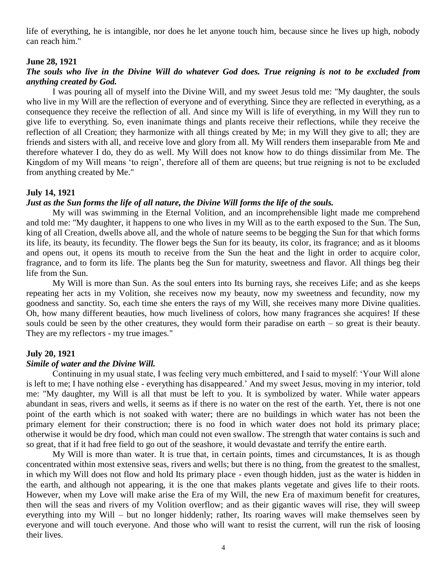life of everything, he is intangible, nor does he let anyone touch him, because since he lives up high, nobody can reach him."

### **June 28, 1921**

## *The souls who live in the Divine Will do whatever God does. True reigning is not to be excluded from anything created by God.*

I was pouring all of myself into the Divine Will, and my sweet Jesus told me: "My daughter, the souls who live in my Will are the reflection of everyone and of everything. Since they are reflected in everything, as a consequence they receive the reflection of all. And since my Will is life of everything, in my Will they run to give life to everything. So, even inanimate things and plants receive their reflections, while they receive the reflection of all Creation; they harmonize with all things created by Me; in my Will they give to all; they are friends and sisters with all, and receive love and glory from all. My Will renders them inseparable from Me and therefore whatever I do, they do as well. My Will does not know how to do things dissimilar from Me. The Kingdom of my Will means 'to reign', therefore all of them are queens; but true reigning is not to be excluded from anything created by Me."

## **July 14, 1921**

### *Just as the Sun forms the life of all nature, the Divine Will forms the life of the souls.*

My will was swimming in the Eternal Volition, and an incomprehensible light made me comprehend and told me: "My daughter, it happens to one who lives in my Will as to the earth exposed to the Sun. The Sun, king of all Creation, dwells above all, and the whole of nature seems to be begging the Sun for that which forms its life, its beauty, its fecundity. The flower begs the Sun for its beauty, its color, its fragrance; and as it blooms and opens out, it opens its mouth to receive from the Sun the heat and the light in order to acquire color, fragrance, and to form its life. The plants beg the Sun for maturity, sweetness and flavor. All things beg their life from the Sun.

My Will is more than Sun. As the soul enters into Its burning rays, she receives Life; and as she keeps repeating her acts in my Volition, she receives now my beauty, now my sweetness and fecundity, now my goodness and sanctity. So, each time she enters the rays of my Will, she receives many more Divine qualities. Oh, how many different beauties, how much liveliness of colors, how many fragrances she acquires! If these souls could be seen by the other creatures, they would form their paradise on earth – so great is their beauty. They are my reflectors - my true images."

## **July 20, 1921**

#### *Simile of water and the Divine Will.*

Continuing in my usual state, I was feeling very much embittered, and I said to myself: 'Your Will alone is left to me; I have nothing else - everything has disappeared.' And my sweet Jesus, moving in my interior, told me: "My daughter, my Will is all that must be left to you. It is symbolized by water. While water appears abundant in seas, rivers and wells, it seems as if there is no water on the rest of the earth. Yet, there is not one point of the earth which is not soaked with water; there are no buildings in which water has not been the primary element for their construction; there is no food in which water does not hold its primary place; otherwise it would be dry food, which man could not even swallow. The strength that water contains is such and so great, that if it had free field to go out of the seashore, it would devastate and terrify the entire earth.

My Will is more than water. It is true that, in certain points, times and circumstances, It is as though concentrated within most extensive seas, rivers and wells; but there is no thing, from the greatest to the smallest, in which my Will does not flow and hold Its primary place - even though hidden, just as the water is hidden in the earth, and although not appearing, it is the one that makes plants vegetate and gives life to their roots. However, when my Love will make arise the Era of my Will, the new Era of maximum benefit for creatures, then will the seas and rivers of my Volition overflow; and as their gigantic waves will rise, they will sweep everything into my Will – but no longer hiddenly; rather, Its roaring waves will make themselves seen by everyone and will touch everyone. And those who will want to resist the current, will run the risk of loosing their lives.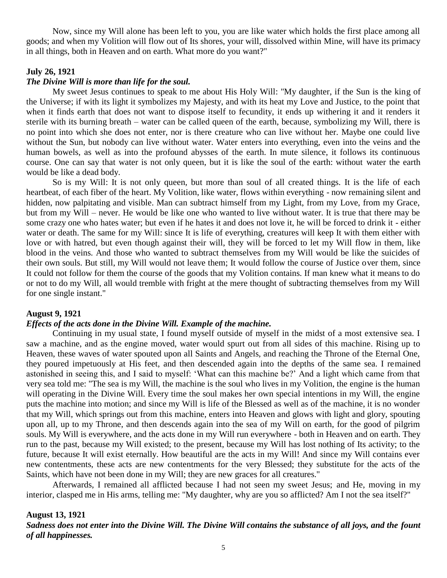Now, since my Will alone has been left to you, you are like water which holds the first place among all goods; and when my Volition will flow out of Its shores, your will, dissolved within Mine, will have its primacy in all things, both in Heaven and on earth. What more do you want?"

## **July 26, 1921**

## *The Divine Will is more than life for the soul.*

My sweet Jesus continues to speak to me about His Holy Will: "My daughter, if the Sun is the king of the Universe; if with its light it symbolizes my Majesty, and with its heat my Love and Justice, to the point that when it finds earth that does not want to dispose itself to fecundity, it ends up withering it and it renders it sterile with its burning breath – water can be called queen of the earth, because, symbolizing my Will, there is no point into which she does not enter, nor is there creature who can live without her. Maybe one could live without the Sun, but nobody can live without water. Water enters into everything, even into the veins and the human bowels, as well as into the profound abysses of the earth. In mute silence, it follows its continuous course. One can say that water is not only queen, but it is like the soul of the earth: without water the earth would be like a dead body.

So is my Will: It is not only queen, but more than soul of all created things. It is the life of each heartbeat, of each fiber of the heart. My Volition, like water, flows within everything - now remaining silent and hidden, now palpitating and visible. Man can subtract himself from my Light, from my Love, from my Grace, but from my Will – never. He would be like one who wanted to live without water. It is true that there may be some crazy one who hates water; but even if he hates it and does not love it, he will be forced to drink it - either water or death. The same for my Will: since It is life of everything, creatures will keep It with them either with love or with hatred, but even though against their will, they will be forced to let my Will flow in them, like blood in the veins. And those who wanted to subtract themselves from my Will would be like the suicides of their own souls. But still, my Will would not leave them; It would follow the course of Justice over them, since It could not follow for them the course of the goods that my Volition contains. If man knew what it means to do or not to do my Will, all would tremble with fright at the mere thought of subtracting themselves from my Will for one single instant."

## **August 9, 1921**

### *Effects of the acts done in the Divine Will. Example of the machine.*

Continuing in my usual state, I found myself outside of myself in the midst of a most extensive sea. I saw a machine, and as the engine moved, water would spurt out from all sides of this machine. Rising up to Heaven, these waves of water spouted upon all Saints and Angels, and reaching the Throne of the Eternal One, they poured impetuously at His feet, and then descended again into the depths of the same sea. I remained astonished in seeing this, and I said to myself: 'What can this machine be?' And a light which came from that very sea told me: "The sea is my Will, the machine is the soul who lives in my Volition, the engine is the human will operating in the Divine Will. Every time the soul makes her own special intentions in my Will, the engine puts the machine into motion; and since my Will is life of the Blessed as well as of the machine, it is no wonder that my Will, which springs out from this machine, enters into Heaven and glows with light and glory, spouting upon all, up to my Throne, and then descends again into the sea of my Will on earth, for the good of pilgrim souls. My Will is everywhere, and the acts done in my Will run everywhere - both in Heaven and on earth. They run to the past, because my Will existed; to the present, because my Will has lost nothing of Its activity; to the future, because It will exist eternally. How beautiful are the acts in my Will! And since my Will contains ever new contentments, these acts are new contentments for the very Blessed; they substitute for the acts of the Saints, which have not been done in my Will; they are new graces for all creatures."

Afterwards, I remained all afflicted because I had not seen my sweet Jesus; and He, moving in my interior, clasped me in His arms, telling me: "My daughter, why are you so afflicted? Am I not the sea itself?"

### **August 13, 1921**

*Sadness does not enter into the Divine Will. The Divine Will contains the substance of all joys, and the fount of all happinesses.*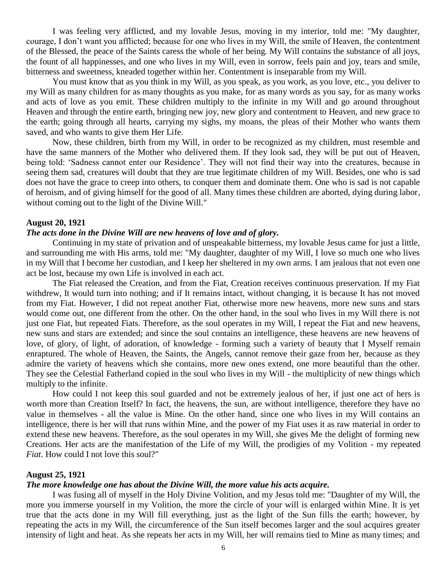I was feeling very afflicted, and my lovable Jesus, moving in my interior, told me: "My daughter, courage, I don't want you afflicted; because for one who lives in my Will, the smile of Heaven, the contentment of the Blessed, the peace of the Saints caress the whole of her being. My Will contains the substance of all joys, the fount of all happinesses, and one who lives in my Will, even in sorrow, feels pain and joy, tears and smile, bitterness and sweetness, kneaded together within her. Contentment is inseparable from my Will.

You must know that as you think in my Will, as you speak, as you work, as you love, etc., you deliver to my Will as many children for as many thoughts as you make, for as many words as you say, for as many works and acts of love as you emit. These children multiply to the infinite in my Will and go around throughout Heaven and through the entire earth, bringing new joy, new glory and contentment to Heaven, and new grace to the earth; going through all hearts, carrying my sighs, my moans, the pleas of their Mother who wants them saved, and who wants to give them Her Life.

Now, these children, birth from my Will, in order to be recognized as my children, must resemble and have the same manners of the Mother who delivered them. If they look sad, they will be put out of Heaven, being told: 'Sadness cannot enter our Residence'. They will not find their way into the creatures, because in seeing them sad, creatures will doubt that they are true legitimate children of my Will. Besides, one who is sad does not have the grace to creep into others, to conquer them and dominate them. One who is sad is not capable of heroism, and of giving himself for the good of all. Many times these children are aborted, dying during labor, without coming out to the light of the Divine Will."

#### **August 20, 1921**

### *The acts done in the Divine Will are new heavens of love and of glory.*

Continuing in my state of privation and of unspeakable bitterness, my lovable Jesus came for just a little, and surrounding me with His arms, told me: "My daughter, daughter of my Will, I love so much one who lives in my Will that I become her custodian, and I keep her sheltered in my own arms. I am jealous that not even one act be lost, because my own Life is involved in each act.

The Fiat released the Creation, and from the Fiat, Creation receives continuous preservation. If my Fiat withdrew, It would turn into nothing; and if It remains intact, without changing, it is because It has not moved from my Fiat. However, I did not repeat another Fiat, otherwise more new heavens, more new suns and stars would come out, one different from the other. On the other hand, in the soul who lives in my Will there is not just one Fiat, but repeated Fiats. Therefore, as the soul operates in my Will, I repeat the Fiat and new heavens, new suns and stars are extended; and since the soul contains an intelligence, these heavens are new heavens of love, of glory, of light, of adoration, of knowledge - forming such a variety of beauty that I Myself remain enraptured. The whole of Heaven, the Saints, the Angels, cannot remove their gaze from her, because as they admire the variety of heavens which she contains, more new ones extend, one more beautiful than the other. They see the Celestial Fatherland copied in the soul who lives in my Will - the multiplicity of new things which multiply to the infinite.

How could I not keep this soul guarded and not be extremely jealous of her, if just one act of hers is worth more than Creation Itself? In fact, the heavens, the sun, are without intelligence, therefore they have no value in themselves - all the value is Mine. On the other hand, since one who lives in my Will contains an intelligence, there is her will that runs within Mine, and the power of my Fiat uses it as raw material in order to extend these new heavens. Therefore, as the soul operates in my Will, she gives Me the delight of forming new Creations. Her acts are the manifestation of the Life of my Will, the prodigies of my Volition - my repeated *Fiat*. How could I not love this soul?"

### **August 25, 1921**

#### *The more knowledge one has about the Divine Will, the more value his acts acquire.*

I was fusing all of myself in the Holy Divine Volition, and my Jesus told me: "Daughter of my Will, the more you immerse yourself in my Volition, the more the circle of your will is enlarged within Mine. It is yet true that the acts done in my Will fill everything, just as the light of the Sun fills the earth; however, by repeating the acts in my Will, the circumference of the Sun itself becomes larger and the soul acquires greater intensity of light and heat. As she repeats her acts in my Will, her will remains tied to Mine as many times; and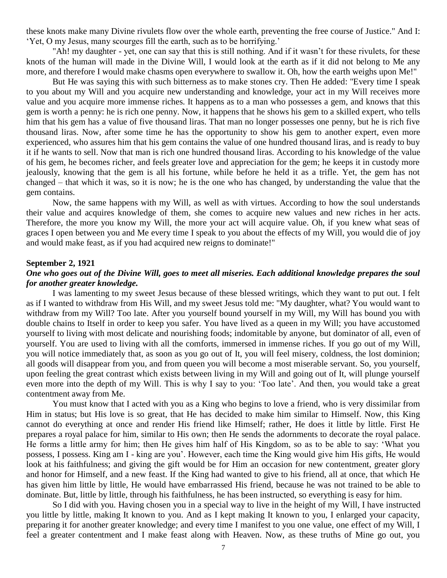these knots make many Divine rivulets flow over the whole earth, preventing the free course of Justice." And I: 'Yet, O my Jesus, many scourges fill the earth, such as to be horrifying.'

"Ah! my daughter - yet, one can say that this is still nothing. And if it wasn't for these rivulets, for these knots of the human will made in the Divine Will, I would look at the earth as if it did not belong to Me any more, and therefore I would make chasms open everywhere to swallow it. Oh, how the earth weighs upon Me!"

But He was saying this with such bitterness as to make stones cry. Then He added: "Every time I speak to you about my Will and you acquire new understanding and knowledge, your act in my Will receives more value and you acquire more immense riches. It happens as to a man who possesses a gem, and knows that this gem is worth a penny: he is rich one penny. Now, it happens that he shows his gem to a skilled expert, who tells him that his gem has a value of five thousand liras. That man no longer possesses one penny, but he is rich five thousand liras. Now, after some time he has the opportunity to show his gem to another expert, even more experienced, who assures him that his gem contains the value of one hundred thousand liras, and is ready to buy it if he wants to sell. Now that man is rich one hundred thousand liras. According to his knowledge of the value of his gem, he becomes richer, and feels greater love and appreciation for the gem; he keeps it in custody more jealously, knowing that the gem is all his fortune, while before he held it as a trifle. Yet, the gem has not changed – that which it was, so it is now; he is the one who has changed, by understanding the value that the gem contains.

Now, the same happens with my Will, as well as with virtues. According to how the soul understands their value and acquires knowledge of them, she comes to acquire new values and new riches in her acts. Therefore, the more you know my Will, the more your act will acquire value. Oh, if you knew what seas of graces I open between you and Me every time I speak to you about the effects of my Will, you would die of joy and would make feast, as if you had acquired new reigns to dominate!"

#### **September 2, 1921**

## *One who goes out of the Divine Will, goes to meet all miseries. Each additional knowledge prepares the soul for another greater knowledge.*

I was lamenting to my sweet Jesus because of these blessed writings, which they want to put out. I felt as if I wanted to withdraw from His Will, and my sweet Jesus told me: "My daughter, what? You would want to withdraw from my Will? Too late. After you yourself bound yourself in my Will, my Will has bound you with double chains to Itself in order to keep you safer. You have lived as a queen in my Will; you have accustomed yourself to living with most delicate and nourishing foods; indomitable by anyone, but dominator of all, even of yourself. You are used to living with all the comforts, immersed in immense riches. If you go out of my Will, you will notice immediately that, as soon as you go out of It, you will feel misery, coldness, the lost dominion; all goods will disappear from you, and from queen you will become a most miserable servant. So, you yourself, upon feeling the great contrast which exists between living in my Will and going out of It, will plunge yourself even more into the depth of my Will. This is why I say to you: 'Too late'. And then, you would take a great contentment away from Me.

You must know that I acted with you as a King who begins to love a friend, who is very dissimilar from Him in status; but His love is so great, that He has decided to make him similar to Himself. Now, this King cannot do everything at once and render His friend like Himself; rather, He does it little by little. First He prepares a royal palace for him, similar to His own; then He sends the adornments to decorate the royal palace. He forms a little army for him; then He gives him half of His Kingdom, so as to be able to say: 'What you possess, I possess. King am I - king are you'. However, each time the King would give him His gifts, He would look at his faithfulness; and giving the gift would be for Him an occasion for new contentment, greater glory and honor for Himself, and a new feast. If the King had wanted to give to his friend, all at once, that which He has given him little by little, He would have embarrassed His friend, because he was not trained to be able to dominate. But, little by little, through his faithfulness, he has been instructed, so everything is easy for him.

So I did with you. Having chosen you in a special way to live in the height of my Will, I have instructed you little by little, making It known to you. And as I kept making It known to you, I enlarged your capacity, preparing it for another greater knowledge; and every time I manifest to you one value, one effect of my Will, I feel a greater contentment and I make feast along with Heaven. Now, as these truths of Mine go out, you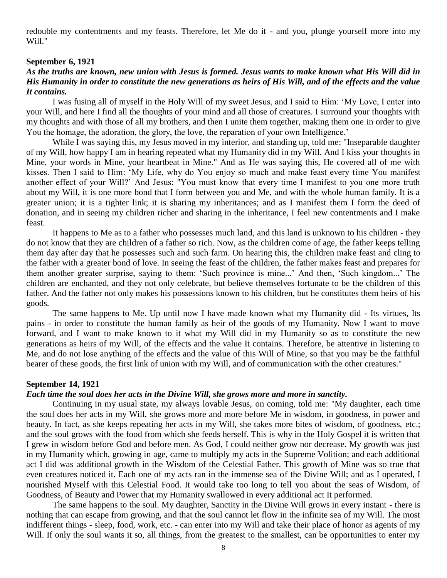redouble my contentments and my feasts. Therefore, let Me do it - and you, plunge yourself more into my Will."

### **September 6, 1921**

## *As the truths are known, new union with Jesus is formed. Jesus wants to make known what His Will did in His Humanity in order to constitute the new generations as heirs of His Will, and of the effects and the value It contains.*

I was fusing all of myself in the Holy Will of my sweet Jesus, and I said to Him: 'My Love, I enter into your Will, and here I find all the thoughts of your mind and all those of creatures. I surround your thoughts with my thoughts and with those of all my brothers, and then I unite them together, making them one in order to give You the homage, the adoration, the glory, the love, the reparation of your own Intelligence.'

While I was saying this, my Jesus moved in my interior, and standing up, told me: "Inseparable daughter of my Will, how happy I am in hearing repeated what my Humanity did in my Will. And I kiss your thoughts in Mine, your words in Mine, your heartbeat in Mine." And as He was saying this, He covered all of me with kisses. Then I said to Him: 'My Life, why do You enjoy so much and make feast every time You manifest another effect of your Will?' And Jesus: "You must know that every time I manifest to you one more truth about my Will, it is one more bond that I form between you and Me, and with the whole human family. It is a greater union; it is a tighter link; it is sharing my inheritances; and as I manifest them I form the deed of donation, and in seeing my children richer and sharing in the inheritance, I feel new contentments and I make feast.

It happens to Me as to a father who possesses much land, and this land is unknown to his children - they do not know that they are children of a father so rich. Now, as the children come of age, the father keeps telling them day after day that he possesses such and such farm. On hearing this, the children make feast and cling to the father with a greater bond of love. In seeing the feast of the children, the father makes feast and prepares for them another greater surprise, saying to them: 'Such province is mine...' And then, 'Such kingdom...' The children are enchanted, and they not only celebrate, but believe themselves fortunate to be the children of this father. And the father not only makes his possessions known to his children, but he constitutes them heirs of his goods.

The same happens to Me. Up until now I have made known what my Humanity did - Its virtues, Its pains - in order to constitute the human family as heir of the goods of my Humanity. Now I want to move forward, and I want to make known to it what my Will did in my Humanity so as to constitute the new generations as heirs of my Will, of the effects and the value It contains. Therefore, be attentive in listening to Me, and do not lose anything of the effects and the value of this Will of Mine, so that you may be the faithful bearer of these goods, the first link of union with my Will, and of communication with the other creatures."

### **September 14, 1921**

### *Each time the soul does her acts in the Divine Will, she grows more and more in sanctity.*

Continuing in my usual state, my always lovable Jesus, on coming, told me: "My daughter, each time the soul does her acts in my Will, she grows more and more before Me in wisdom, in goodness, in power and beauty. In fact, as she keeps repeating her acts in my Will, she takes more bites of wisdom, of goodness, etc.; and the soul grows with the food from which she feeds herself. This is why in the Holy Gospel it is written that I grew in wisdom before God and before men. As God, I could neither grow nor decrease. My growth was just in my Humanity which, growing in age, came to multiply my acts in the Supreme Volition; and each additional act I did was additional growth in the Wisdom of the Celestial Father. This growth of Mine was so true that even creatures noticed it. Each one of my acts ran in the immense sea of the Divine Will; and as I operated, I nourished Myself with this Celestial Food. It would take too long to tell you about the seas of Wisdom, of Goodness, of Beauty and Power that my Humanity swallowed in every additional act It performed.

The same happens to the soul. My daughter, Sanctity in the Divine Will grows in every instant - there is nothing that can escape from growing, and that the soul cannot let flow in the infinite sea of my Will. The most indifferent things - sleep, food, work, etc. - can enter into my Will and take their place of honor as agents of my Will. If only the soul wants it so, all things, from the greatest to the smallest, can be opportunities to enter my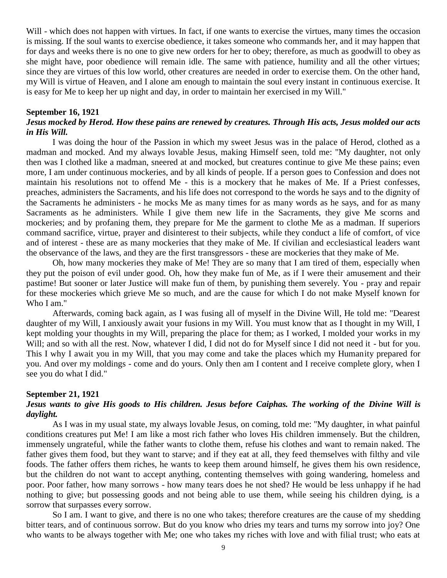Will - which does not happen with virtues. In fact, if one wants to exercise the virtues, many times the occasion is missing. If the soul wants to exercise obedience, it takes someone who commands her, and it may happen that for days and weeks there is no one to give new orders for her to obey; therefore, as much as goodwill to obey as she might have, poor obedience will remain idle. The same with patience, humility and all the other virtues; since they are virtues of this low world, other creatures are needed in order to exercise them. On the other hand, my Will is virtue of Heaven, and I alone am enough to maintain the soul every instant in continuous exercise. It is easy for Me to keep her up night and day, in order to maintain her exercised in my Will."

## **September 16, 1921**

## *Jesus mocked by Herod. How these pains are renewed by creatures. Through His acts, Jesus molded our acts in His Will.*

I was doing the hour of the Passion in which my sweet Jesus was in the palace of Herod, clothed as a madman and mocked. And my always lovable Jesus, making Himself seen, told me: "My daughter, not only then was I clothed like a madman, sneered at and mocked, but creatures continue to give Me these pains; even more, I am under continuous mockeries, and by all kinds of people. If a person goes to Confession and does not maintain his resolutions not to offend Me - this is a mockery that he makes of Me. If a Priest confesses, preaches, administers the Sacraments, and his life does not correspond to the words he says and to the dignity of the Sacraments he administers - he mocks Me as many times for as many words as he says, and for as many Sacraments as he administers. While I give them new life in the Sacraments, they give Me scorns and mockeries; and by profaning them, they prepare for Me the garment to clothe Me as a madman. If superiors command sacrifice, virtue, prayer and disinterest to their subjects, while they conduct a life of comfort, of vice and of interest - these are as many mockeries that they make of Me. If civilian and ecclesiastical leaders want the observance of the laws, and they are the first transgressors - these are mockeries that they make of Me.

Oh, how many mockeries they make of Me! They are so many that I am tired of them, especially when they put the poison of evil under good. Oh, how they make fun of Me, as if I were their amusement and their pastime! But sooner or later Justice will make fun of them, by punishing them severely. You - pray and repair for these mockeries which grieve Me so much, and are the cause for which I do not make Myself known for Who I am."

Afterwards, coming back again, as I was fusing all of myself in the Divine Will, He told me: "Dearest daughter of my Will, I anxiously await your fusions in my Will. You must know that as I thought in my Will, I kept molding your thoughts in my Will, preparing the place for them; as I worked, I molded your works in my Will; and so with all the rest. Now, whatever I did, I did not do for Myself since I did not need it - but for you. This I why I await you in my Will, that you may come and take the places which my Humanity prepared for you. And over my moldings - come and do yours. Only then am I content and I receive complete glory, when I see you do what I did."

#### **September 21, 1921**

## *Jesus wants to give His goods to His children. Jesus before Caiphas. The working of the Divine Will is daylight.*

As I was in my usual state, my always lovable Jesus, on coming, told me: "My daughter, in what painful conditions creatures put Me! I am like a most rich father who loves His children immensely. But the children, immensely ungrateful, while the father wants to clothe them, refuse his clothes and want to remain naked. The father gives them food, but they want to starve; and if they eat at all, they feed themselves with filthy and vile foods. The father offers them riches, he wants to keep them around himself, he gives them his own residence, but the children do not want to accept anything, contenting themselves with going wandering, homeless and poor. Poor father, how many sorrows - how many tears does he not shed? He would be less unhappy if he had nothing to give; but possessing goods and not being able to use them, while seeing his children dying, is a sorrow that surpasses every sorrow.

So I am. I want to give, and there is no one who takes; therefore creatures are the cause of my shedding bitter tears, and of continuous sorrow. But do you know who dries my tears and turns my sorrow into joy? One who wants to be always together with Me; one who takes my riches with love and with filial trust; who eats at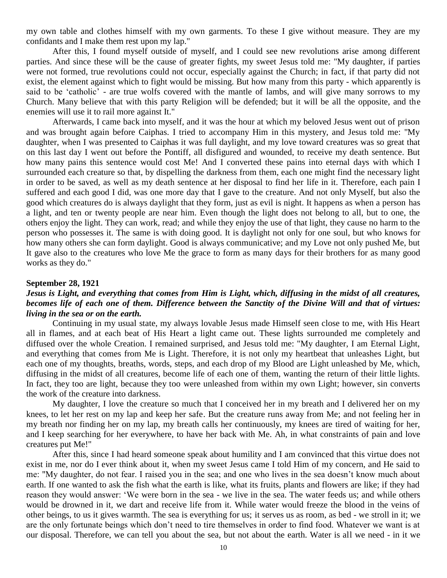my own table and clothes himself with my own garments. To these I give without measure. They are my confidants and I make them rest upon my lap."

After this, I found myself outside of myself, and I could see new revolutions arise among different parties. And since these will be the cause of greater fights, my sweet Jesus told me: "My daughter, if parties were not formed, true revolutions could not occur, especially against the Church; in fact, if that party did not exist, the element against which to fight would be missing. But how many from this party - which apparently is said to be 'catholic' - are true wolfs covered with the mantle of lambs, and will give many sorrows to my Church. Many believe that with this party Religion will be defended; but it will be all the opposite, and the enemies will use it to rail more against It."

Afterwards, I came back into myself, and it was the hour at which my beloved Jesus went out of prison and was brought again before Caiphas. I tried to accompany Him in this mystery, and Jesus told me: "My daughter, when I was presented to Caiphas it was full daylight, and my love toward creatures was so great that on this last day I went out before the Pontiff, all disfigured and wounded, to receive my death sentence. But how many pains this sentence would cost Me! And I converted these pains into eternal days with which I surrounded each creature so that, by dispelling the darkness from them, each one might find the necessary light in order to be saved, as well as my death sentence at her disposal to find her life in it. Therefore, each pain I suffered and each good I did, was one more day that I gave to the creature. And not only Myself, but also the good which creatures do is always daylight that they form, just as evil is night. It happens as when a person has a light, and ten or twenty people are near him. Even though the light does not belong to all, but to one, the others enjoy the light. They can work, read; and while they enjoy the use of that light, they cause no harm to the person who possesses it. The same is with doing good. It is daylight not only for one soul, but who knows for how many others she can form daylight. Good is always communicative; and my Love not only pushed Me, but It gave also to the creatures who love Me the grace to form as many days for their brothers for as many good works as they do."

### **September 28, 1921**

## *Jesus is Light, and everything that comes from Him is Light, which, diffusing in the midst of all creatures, becomes life of each one of them. Difference between the Sanctity of the Divine Will and that of virtues: living in the sea or on the earth.*

Continuing in my usual state, my always lovable Jesus made Himself seen close to me, with His Heart all in flames, and at each beat of His Heart a light came out. These lights surrounded me completely and diffused over the whole Creation. I remained surprised, and Jesus told me: "My daughter, I am Eternal Light, and everything that comes from Me is Light. Therefore, it is not only my heartbeat that unleashes Light, but each one of my thoughts, breaths, words, steps, and each drop of my Blood are Light unleashed by Me, which, diffusing in the midst of all creatures, become life of each one of them, wanting the return of their little lights. In fact, they too are light, because they too were unleashed from within my own Light; however, sin converts the work of the creature into darkness.

My daughter, I love the creature so much that I conceived her in my breath and I delivered her on my knees, to let her rest on my lap and keep her safe. But the creature runs away from Me; and not feeling her in my breath nor finding her on my lap, my breath calls her continuously, my knees are tired of waiting for her, and I keep searching for her everywhere, to have her back with Me. Ah, in what constraints of pain and love creatures put Me!"

After this, since I had heard someone speak about humility and I am convinced that this virtue does not exist in me, nor do I ever think about it, when my sweet Jesus came I told Him of my concern, and He said to me: "My daughter, do not fear. I raised you in the sea; and one who lives in the sea doesn't know much about earth. If one wanted to ask the fish what the earth is like, what its fruits, plants and flowers are like; if they had reason they would answer: 'We were born in the sea - we live in the sea. The water feeds us; and while others would be drowned in it, we dart and receive life from it. While water would freeze the blood in the veins of other beings, to us it gives warmth. The sea is everything for us; it serves us as room, as bed - we stroll in it; we are the only fortunate beings which don't need to tire themselves in order to find food. Whatever we want is at our disposal. Therefore, we can tell you about the sea, but not about the earth. Water is all we need - in it we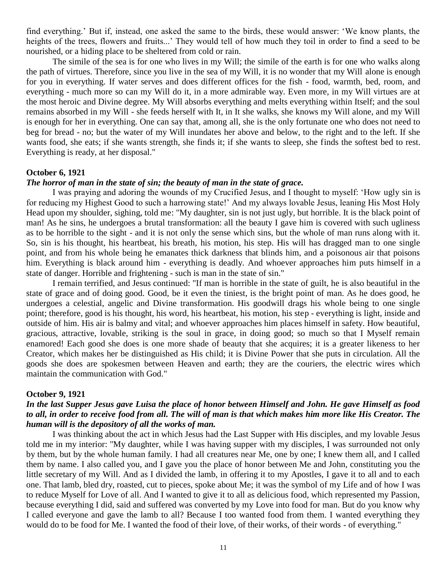find everything.' But if, instead, one asked the same to the birds, these would answer: 'We know plants, the heights of the trees, flowers and fruits...' They would tell of how much they toil in order to find a seed to be nourished, or a hiding place to be sheltered from cold or rain.

The simile of the sea is for one who lives in my Will; the simile of the earth is for one who walks along the path of virtues. Therefore, since you live in the sea of my Will, it is no wonder that my Will alone is enough for you in everything. If water serves and does different offices for the fish - food, warmth, bed, room, and everything - much more so can my Will do it, in a more admirable way. Even more, in my Will virtues are at the most heroic and Divine degree. My Will absorbs everything and melts everything within Itself; and the soul remains absorbed in my Will - she feeds herself with It, in It she walks, she knows my Will alone, and my Will is enough for her in everything. One can say that, among all, she is the only fortunate one who does not need to beg for bread - no; but the water of my Will inundates her above and below, to the right and to the left. If she wants food, she eats; if she wants strength, she finds it; if she wants to sleep, she finds the softest bed to rest. Everything is ready, at her disposal."

### **October 6, 1921**

## *The horror of man in the state of sin; the beauty of man in the state of grace.*

I was praying and adoring the wounds of my Crucified Jesus, and I thought to myself: 'How ugly sin is for reducing my Highest Good to such a harrowing state!' And my always lovable Jesus, leaning His Most Holy Head upon my shoulder, sighing, told me: "My daughter, sin is not just ugly, but horrible. It is the black point of man! As he sins, he undergoes a brutal transformation: all the beauty I gave him is covered with such ugliness as to be horrible to the sight - and it is not only the sense which sins, but the whole of man runs along with it. So, sin is his thought, his heartbeat, his breath, his motion, his step. His will has dragged man to one single point, and from his whole being he emanates thick darkness that blinds him, and a poisonous air that poisons him. Everything is black around him - everything is deadly. And whoever approaches him puts himself in a state of danger. Horrible and frightening - such is man in the state of sin."

I remain terrified, and Jesus continued: "If man is horrible in the state of guilt, he is also beautiful in the state of grace and of doing good. Good, be it even the tiniest, is the bright point of man. As he does good, he undergoes a celestial, angelic and Divine transformation. His goodwill drags his whole being to one single point; therefore, good is his thought, his word, his heartbeat, his motion, his step - everything is light, inside and outside of him. His air is balmy and vital; and whoever approaches him places himself in safety. How beautiful, gracious, attractive, lovable, striking is the soul in grace, in doing good; so much so that I Myself remain enamored! Each good she does is one more shade of beauty that she acquires; it is a greater likeness to her Creator, which makes her be distinguished as His child; it is Divine Power that she puts in circulation. All the goods she does are spokesmen between Heaven and earth; they are the couriers, the electric wires which maintain the communication with God."

### **October 9, 1921**

## *In the last Supper Jesus gave Luisa the place of honor between Himself and John. He gave Himself as food to all, in order to receive food from all. The will of man is that which makes him more like His Creator. The human will is the depository of all the works of man.*

I was thinking about the act in which Jesus had the Last Supper with His disciples, and my lovable Jesus told me in my interior: "My daughter, while I was having supper with my disciples, I was surrounded not only by them, but by the whole human family. I had all creatures near Me, one by one; I knew them all, and I called them by name. I also called you, and I gave you the place of honor between Me and John, constituting you the little secretary of my Will. And as I divided the lamb, in offering it to my Apostles, I gave it to all and to each one. That lamb, bled dry, roasted, cut to pieces, spoke about Me; it was the symbol of my Life and of how I was to reduce Myself for Love of all. And I wanted to give it to all as delicious food, which represented my Passion, because everything I did, said and suffered was converted by my Love into food for man. But do you know why I called everyone and gave the lamb to all? Because I too wanted food from them. I wanted everything they would do to be food for Me. I wanted the food of their love, of their works, of their words - of everything."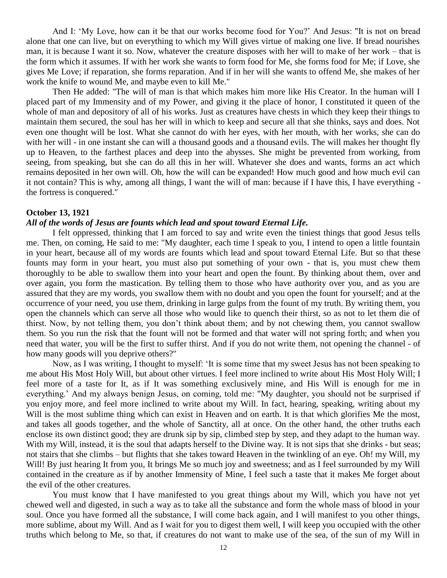And I: 'My Love, how can it be that our works become food for You?' And Jesus: "It is not on bread alone that one can live, but on everything to which my Will gives virtue of making one live. If bread nourishes man, it is because I want it so. Now, whatever the creature disposes with her will to make of her work – that is the form which it assumes. If with her work she wants to form food for Me, she forms food for Me; if Love, she gives Me Love; if reparation, she forms reparation. And if in her will she wants to offend Me, she makes of her work the knife to wound Me, and maybe even to kill Me."

Then He added: "The will of man is that which makes him more like His Creator. In the human will I placed part of my Immensity and of my Power, and giving it the place of honor, I constituted it queen of the whole of man and depository of all of his works. Just as creatures have chests in which they keep their things to maintain them secured, the soul has her will in which to keep and secure all that she thinks, says and does. Not even one thought will be lost. What she cannot do with her eyes, with her mouth, with her works, she can do with her will - in one instant she can will a thousand goods and a thousand evils. The will makes her thought fly up to Heaven, to the farthest places and deep into the abysses. She might be prevented from working, from seeing, from speaking, but she can do all this in her will. Whatever she does and wants, forms an act which remains deposited in her own will. Oh, how the will can be expanded! How much good and how much evil can it not contain? This is why, among all things, I want the will of man: because if I have this, I have everything the fortress is conquered."

### **October 13, 1921**

### *All of the words of Jesus are founts which lead and spout toward Eternal Life.*

I felt oppressed, thinking that I am forced to say and write even the tiniest things that good Jesus tells me. Then, on coming, He said to me: "My daughter, each time I speak to you, I intend to open a little fountain in your heart, because all of my words are founts which lead and spout toward Eternal Life. But so that these founts may form in your heart, you must also put something of your own - that is, you must chew them thoroughly to be able to swallow them into your heart and open the fount. By thinking about them, over and over again, you form the mastication. By telling them to those who have authority over you, and as you are assured that they are my words, you swallow them with no doubt and you open the fount for yourself; and at the occurrence of your need, you use them, drinking in large gulps from the fount of my truth. By writing them, you open the channels which can serve all those who would like to quench their thirst, so as not to let them die of thirst. Now, by not telling them, you don't think about them; and by not chewing them, you cannot swallow them. So you run the risk that the fount will not be formed and that water will not spring forth; and when you need that water, you will be the first to suffer thirst. And if you do not write them, not opening the channel - of how many goods will you deprive others?"

Now, as I was writing, I thought to myself: 'It is some time that my sweet Jesus has not been speaking to me about His Most Holy Will, but about other virtues. I feel more inclined to write about His Most Holy Will; I feel more of a taste for It, as if It was something exclusively mine, and His Will is enough for me in everything.' And my always benign Jesus, on coming, told me: "My daughter, you should not be surprised if you enjoy more, and feel more inclined to write about my Will. In fact, hearing, speaking, writing about my Will is the most sublime thing which can exist in Heaven and on earth. It is that which glorifies Me the most, and takes all goods together, and the whole of Sanctity, all at once. On the other hand, the other truths each enclose its own distinct good; they are drunk sip by sip, climbed step by step, and they adapt to the human way. With my Will, instead, it is the soul that adapts herself to the Divine way. It is not sips that she drinks - but seas; not stairs that she climbs – but flights that she takes toward Heaven in the twinkling of an eye. Oh! my Will, my Will! By just hearing It from you, It brings Me so much joy and sweetness; and as I feel surrounded by my Will contained in the creature as if by another Immensity of Mine, I feel such a taste that it makes Me forget about the evil of the other creatures.

You must know that I have manifested to you great things about my Will, which you have not yet chewed well and digested, in such a way as to take all the substance and form the whole mass of blood in your soul. Once you have formed all the substance, I will come back again, and I will manifest to you other things, more sublime, about my Will. And as I wait for you to digest them well, I will keep you occupied with the other truths which belong to Me, so that, if creatures do not want to make use of the sea, of the sun of my Will in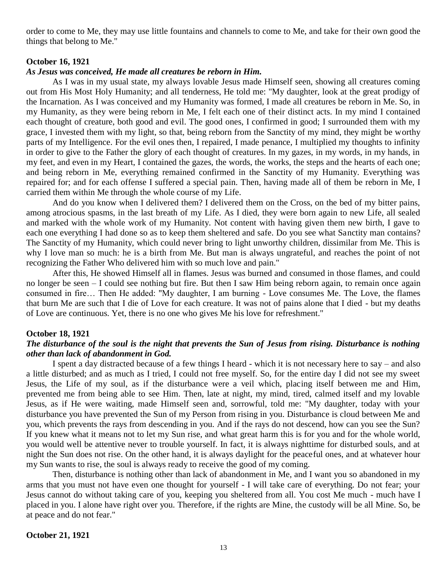order to come to Me, they may use little fountains and channels to come to Me, and take for their own good the things that belong to Me."

### **October 16, 1921**

### *As Jesus was conceived, He made all creatures be reborn in Him.*

As I was in my usual state, my always lovable Jesus made Himself seen, showing all creatures coming out from His Most Holy Humanity; and all tenderness, He told me: "My daughter, look at the great prodigy of the Incarnation. As I was conceived and my Humanity was formed, I made all creatures be reborn in Me. So, in my Humanity, as they were being reborn in Me, I felt each one of their distinct acts. In my mind I contained each thought of creature, both good and evil. The good ones, I confirmed in good; I surrounded them with my grace, I invested them with my light, so that, being reborn from the Sanctity of my mind, they might be worthy parts of my Intelligence. For the evil ones then, I repaired, I made penance, I multiplied my thoughts to infinity in order to give to the Father the glory of each thought of creatures. In my gazes, in my words, in my hands, in my feet, and even in my Heart, I contained the gazes, the words, the works, the steps and the hearts of each one; and being reborn in Me, everything remained confirmed in the Sanctity of my Humanity. Everything was repaired for; and for each offense I suffered a special pain. Then, having made all of them be reborn in Me, I carried them within Me through the whole course of my Life.

And do you know when I delivered them? I delivered them on the Cross, on the bed of my bitter pains, among atrocious spasms, in the last breath of my Life. As I died, they were born again to new Life, all sealed and marked with the whole work of my Humanity. Not content with having given them new birth, I gave to each one everything I had done so as to keep them sheltered and safe. Do you see what Sanctity man contains? The Sanctity of my Humanity, which could never bring to light unworthy children, dissimilar from Me. This is why I love man so much: he is a birth from Me. But man is always ungrateful, and reaches the point of not recognizing the Father Who delivered him with so much love and pain."

After this, He showed Himself all in flames. Jesus was burned and consumed in those flames, and could no longer be seen – I could see nothing but fire. But then I saw Him being reborn again, to remain once again consumed in fire… Then He added: "My daughter, I am burning - Love consumes Me. The Love, the flames that burn Me are such that I die of Love for each creature. It was not of pains alone that I died - but my deaths of Love are continuous. Yet, there is no one who gives Me his love for refreshment."

#### **October 18, 1921**

## *The disturbance of the soul is the night that prevents the Sun of Jesus from rising. Disturbance is nothing other than lack of abandonment in God.*

I spent a day distracted because of a few things I heard - which it is not necessary here to say – and also a little disturbed; and as much as I tried, I could not free myself. So, for the entire day I did not see my sweet Jesus, the Life of my soul, as if the disturbance were a veil which, placing itself between me and Him, prevented me from being able to see Him. Then, late at night, my mind, tired, calmed itself and my lovable Jesus, as if He were waiting, made Himself seen and, sorrowful, told me: "My daughter, today with your disturbance you have prevented the Sun of my Person from rising in you. Disturbance is cloud between Me and you, which prevents the rays from descending in you. And if the rays do not descend, how can you see the Sun? If you knew what it means not to let my Sun rise, and what great harm this is for you and for the whole world, you would well be attentive never to trouble yourself. In fact, it is always nighttime for disturbed souls, and at night the Sun does not rise. On the other hand, it is always daylight for the peaceful ones, and at whatever hour my Sun wants to rise, the soul is always ready to receive the good of my coming.

Then, disturbance is nothing other than lack of abandonment in Me, and I want you so abandoned in my arms that you must not have even one thought for yourself - I will take care of everything. Do not fear; your Jesus cannot do without taking care of you, keeping you sheltered from all. You cost Me much - much have I placed in you. I alone have right over you. Therefore, if the rights are Mine, the custody will be all Mine. So, be at peace and do not fear."

#### **October 21, 1921**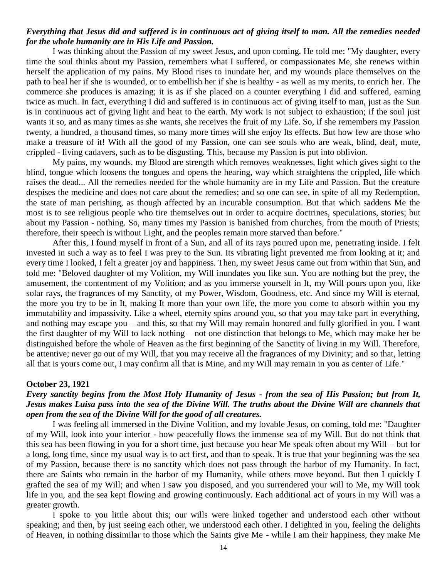## *Everything that Jesus did and suffered is in continuous act of giving itself to man. All the remedies needed for the whole humanity are in His Life and Passion.*

I was thinking about the Passion of my sweet Jesus, and upon coming, He told me: "My daughter, every time the soul thinks about my Passion, remembers what I suffered, or compassionates Me, she renews within herself the application of my pains. My Blood rises to inundate her, and my wounds place themselves on the path to heal her if she is wounded, or to embellish her if she is healthy - as well as my merits, to enrich her. The commerce she produces is amazing; it is as if she placed on a counter everything I did and suffered, earning twice as much. In fact, everything I did and suffered is in continuous act of giving itself to man, just as the Sun is in continuous act of giving light and heat to the earth. My work is not subject to exhaustion; if the soul just wants it so, and as many times as she wants, she receives the fruit of my Life. So, if she remembers my Passion twenty, a hundred, a thousand times, so many more times will she enjoy Its effects. But how few are those who make a treasure of it! With all the good of my Passion, one can see souls who are weak, blind, deaf, mute, crippled - living cadavers, such as to be disgusting. This, because my Passion is put into oblivion.

My pains, my wounds, my Blood are strength which removes weaknesses, light which gives sight to the blind, tongue which loosens the tongues and opens the hearing, way which straightens the crippled, life which raises the dead... All the remedies needed for the whole humanity are in my Life and Passion. But the creature despises the medicine and does not care about the remedies; and so one can see, in spite of all my Redemption, the state of man perishing, as though affected by an incurable consumption. But that which saddens Me the most is to see religious people who tire themselves out in order to acquire doctrines, speculations, stories; but about my Passion - nothing. So, many times my Passion is banished from churches, from the mouth of Priests; therefore, their speech is without Light, and the peoples remain more starved than before."

After this, I found myself in front of a Sun, and all of its rays poured upon me, penetrating inside. I felt invested in such a way as to feel I was prey to the Sun. Its vibrating light prevented me from looking at it; and every time I looked, I felt a greater joy and happiness. Then, my sweet Jesus came out from within that Sun, and told me: "Beloved daughter of my Volition, my Will inundates you like sun. You are nothing but the prey, the amusement, the contentment of my Volition; and as you immerse yourself in It, my Will pours upon you, like solar rays, the fragrances of my Sanctity, of my Power, Wisdom, Goodness, etc. And since my Will is eternal, the more you try to be in It, making It more than your own life, the more you come to absorb within you my immutability and impassivity. Like a wheel, eternity spins around you, so that you may take part in everything, and nothing may escape you – and this, so that my Will may remain honored and fully glorified in you. I want the first daughter of my Will to lack nothing – not one distinction that belongs to Me, which may make her be distinguished before the whole of Heaven as the first beginning of the Sanctity of living in my Will. Therefore, be attentive; never go out of my Will, that you may receive all the fragrances of my Divinity; and so that, letting all that is yours come out, I may confirm all that is Mine, and my Will may remain in you as center of Life."

#### **October 23, 1921**

## *Every sanctity begins from the Most Holy Humanity of Jesus - from the sea of His Passion; but from It, Jesus makes Luisa pass into the sea of the Divine Will. The truths about the Divine Will are channels that open from the sea of the Divine Will for the good of all creatures.*

I was feeling all immersed in the Divine Volition, and my lovable Jesus, on coming, told me: "Daughter of my Will, look into your interior - how peacefully flows the immense sea of my Will. But do not think that this sea has been flowing in you for a short time, just because you hear Me speak often about my Will – but for a long, long time, since my usual way is to act first, and than to speak. It is true that your beginning was the sea of my Passion, because there is no sanctity which does not pass through the harbor of my Humanity. In fact, there are Saints who remain in the harbor of my Humanity, while others move beyond. But then I quickly I grafted the sea of my Will; and when I saw you disposed, and you surrendered your will to Me, my Will took life in you, and the sea kept flowing and growing continuously. Each additional act of yours in my Will was a greater growth.

I spoke to you little about this; our wills were linked together and understood each other without speaking; and then, by just seeing each other, we understood each other. I delighted in you, feeling the delights of Heaven, in nothing dissimilar to those which the Saints give Me - while I am their happiness, they make Me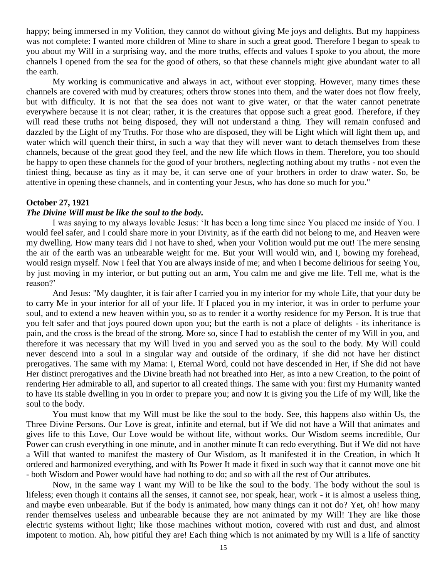happy; being immersed in my Volition, they cannot do without giving Me joys and delights. But my happiness was not complete: I wanted more children of Mine to share in such a great good. Therefore I began to speak to you about my Will in a surprising way, and the more truths, effects and values I spoke to you about, the more channels I opened from the sea for the good of others, so that these channels might give abundant water to all the earth.

My working is communicative and always in act, without ever stopping. However, many times these channels are covered with mud by creatures; others throw stones into them, and the water does not flow freely, but with difficulty. It is not that the sea does not want to give water, or that the water cannot penetrate everywhere because it is not clear; rather, it is the creatures that oppose such a great good. Therefore, if they will read these truths not being disposed, they will not understand a thing. They will remain confused and dazzled by the Light of my Truths. For those who are disposed, they will be Light which will light them up, and water which will quench their thirst, in such a way that they will never want to detach themselves from these channels, because of the great good they feel, and the new life which flows in them. Therefore, you too should be happy to open these channels for the good of your brothers, neglecting nothing about my truths - not even the tiniest thing, because as tiny as it may be, it can serve one of your brothers in order to draw water. So, be attentive in opening these channels, and in contenting your Jesus, who has done so much for you."

### **October 27, 1921**

## *The Divine Will must be like the soul to the body.*

I was saying to my always lovable Jesus: 'It has been a long time since You placed me inside of You. I would feel safer, and I could share more in your Divinity, as if the earth did not belong to me, and Heaven were my dwelling. How many tears did I not have to shed, when your Volition would put me out! The mere sensing the air of the earth was an unbearable weight for me. But your Will would win, and I, bowing my forehead, would resign myself. Now I feel that You are always inside of me; and when I become delirious for seeing You, by just moving in my interior, or but putting out an arm, You calm me and give me life. Tell me, what is the reason?'

And Jesus: "My daughter, it is fair after I carried you in my interior for my whole Life, that your duty be to carry Me in your interior for all of your life. If I placed you in my interior, it was in order to perfume your soul, and to extend a new heaven within you, so as to render it a worthy residence for my Person. It is true that you felt safer and that joys poured down upon you; but the earth is not a place of delights - its inheritance is pain, and the cross is the bread of the strong. More so, since I had to establish the center of my Will in you, and therefore it was necessary that my Will lived in you and served you as the soul to the body. My Will could never descend into a soul in a singular way and outside of the ordinary, if she did not have her distinct prerogatives. The same with my Mama: I, Eternal Word, could not have descended in Her, if She did not have Her distinct prerogatives and the Divine breath had not breathed into Her, as into a new Creation, to the point of rendering Her admirable to all, and superior to all created things. The same with you: first my Humanity wanted to have Its stable dwelling in you in order to prepare you; and now It is giving you the Life of my Will, like the soul to the body.

You must know that my Will must be like the soul to the body. See, this happens also within Us, the Three Divine Persons. Our Love is great, infinite and eternal, but if We did not have a Will that animates and gives life to this Love, Our Love would be without life, without works. Our Wisdom seems incredible, Our Power can crush everything in one minute, and in another minute It can redo everything. But if We did not have a Will that wanted to manifest the mastery of Our Wisdom, as It manifested it in the Creation, in which It ordered and harmonized everything, and with Its Power It made it fixed in such way that it cannot move one bit - both Wisdom and Power would have had nothing to do; and so with all the rest of Our attributes.

Now, in the same way I want my Will to be like the soul to the body. The body without the soul is lifeless; even though it contains all the senses, it cannot see, nor speak, hear, work - it is almost a useless thing, and maybe even unbearable. But if the body is animated, how many things can it not do? Yet, oh! how many render themselves useless and unbearable because they are not animated by my Will! They are like those electric systems without light; like those machines without motion, covered with rust and dust, and almost impotent to motion. Ah, how pitiful they are! Each thing which is not animated by my Will is a life of sanctity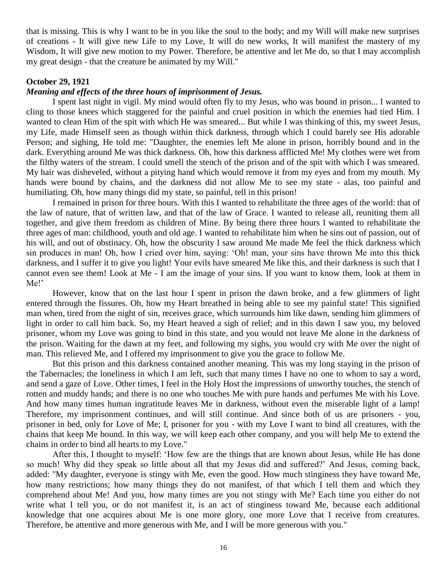that is missing. This is why I want to be in you like the soul to the body; and my Will will make new surprises of creations - It will give new Life to my Love, It will do new works, It will manifest the mastery of my Wisdom, It will give new motion to my Power. Therefore, be attentive and let Me do, so that I may accomplish my great design - that the creature be animated by my Will."

## **October 29, 1921**

### *Meaning and effects of the three hours of imprisonment of Jesus.*

I spent last night in vigil. My mind would often fly to my Jesus, who was bound in prison... I wanted to cling to those knees which staggered for the painful and cruel position in which the enemies had tied Him. I wanted to clean Him of the spit with which He was smeared... But while I was thinking of this, my sweet Jesus, my Life, made Himself seen as though within thick darkness, through which I could barely see His adorable Person; and sighing, He told me: "Daughter, the enemies left Me alone in prison, horribly bound and in the dark. Everything around Me was thick darkness. Oh, how this darkness afflicted Me! My clothes were wet from the filthy waters of the stream. I could smell the stench of the prison and of the spit with which I was smeared. My hair was disheveled, without a pitying hand which would remove it from my eyes and from my mouth. My hands were bound by chains, and the darkness did not allow Me to see my state - alas, too painful and humiliating. Oh, how many things did my state, so painful, tell in this prison!

I remained in prison for three hours. With this I wanted to rehabilitate the three ages of the world: that of the law of nature, that of written law, and that of the law of Grace. I wanted to release all, reuniting them all together, and give them freedom as children of Mine. By being there three hours I wanted to rehabilitate the three ages of man: childhood, youth and old age. I wanted to rehabilitate him when he sins out of passion, out of his will, and out of obstinacy. Oh, how the obscurity I saw around Me made Me feel the thick darkness which sin produces in man! Oh, how I cried over him, saying: 'Oh! man, your sins have thrown Me into this thick darkness, and I suffer it to give you light! Your evils have smeared Me like this, and their darkness is such that I cannot even see them! Look at Me - I am the image of your sins. If you want to know them, look at them in Me!'

However, know that on the last hour I spent in prison the dawn broke, and a few glimmers of light entered through the fissures. Oh, how my Heart breathed in being able to see my painful state! This signified man when, tired from the night of sin, receives grace, which surrounds him like dawn, sending him glimmers of light in order to call him back. So, my Heart heaved a sigh of relief; and in this dawn I saw you, my beloved prisoner, whom my Love was going to bind in this state, and you would not leave Me alone in the darkness of the prison. Waiting for the dawn at my feet, and following my sighs, you would cry with Me over the night of man. This relieved Me, and I offered my imprisonment to give you the grace to follow Me.

But this prison and this darkness contained another meaning. This was my long staying in the prison of the Tabernacles; the loneliness in which I am left, such that many times I have no one to whom to say a word, and send a gaze of Love. Other times, I feel in the Holy Host the impressions of unworthy touches, the stench of rotten and muddy hands; and there is no one who touches Me with pure hands and perfumes Me with his Love. And how many times human ingratitude leaves Me in darkness, without even the miserable light of a lamp! Therefore, my imprisonment continues, and will still continue. And since both of us are prisoners - you, prisoner in bed, only for Love of Me; I, prisoner for you - with my Love I want to bind all creatures, with the chains that keep Me bound. In this way, we will keep each other company, and you will help Me to extend the chains in order to bind all hearts to my Love."

After this, I thought to myself: 'How few are the things that are known about Jesus, while He has done so much! Why did they speak so little about all that my Jesus did and suffered?' And Jesus, coming back, added: "My daughter, everyone is stingy with Me, even the good. How much stinginess they have toward Me, how many restrictions; how many things they do not manifest, of that which I tell them and which they comprehend about Me! And you, how many times are you not stingy with Me? Each time you either do not write what I tell you, or do not manifest it, is an act of stinginess toward Me, because each additional knowledge that one acquires about Me is one more glory, one more Love that I receive from creatures. Therefore, be attentive and more generous with Me, and I will be more generous with you."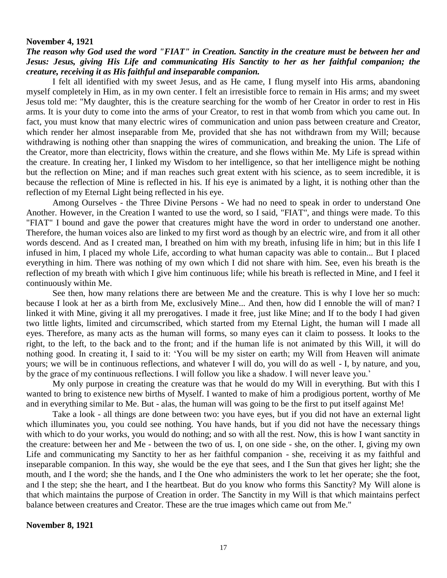#### **November 4, 1921**

## *The reason why God used the word "FIAT" in Creation. Sanctity in the creature must be between her and Jesus: Jesus, giving His Life and communicating His Sanctity to her as her faithful companion; the creature, receiving it as His faithful and inseparable companion.*

I felt all identified with my sweet Jesus, and as He came, I flung myself into His arms, abandoning myself completely in Him, as in my own center. I felt an irresistible force to remain in His arms; and my sweet Jesus told me: "My daughter, this is the creature searching for the womb of her Creator in order to rest in His arms. It is your duty to come into the arms of your Creator, to rest in that womb from which you came out. In fact, you must know that many electric wires of communication and union pass between creature and Creator, which render her almost inseparable from Me, provided that she has not withdrawn from my Will; because withdrawing is nothing other than snapping the wires of communication, and breaking the union. The Life of the Creator, more than electricity, flows within the creature, and she flows within Me. My Life is spread within the creature. In creating her, I linked my Wisdom to her intelligence, so that her intelligence might be nothing but the reflection on Mine; and if man reaches such great extent with his science, as to seem incredible, it is because the reflection of Mine is reflected in his. If his eye is animated by a light, it is nothing other than the reflection of my Eternal Light being reflected in his eye.

Among Ourselves - the Three Divine Persons - We had no need to speak in order to understand One Another. However, in the Creation I wanted to use the word, so I said, "FIAT", and things were made. To this "FIAT" I bound and gave the power that creatures might have the word in order to understand one another. Therefore, the human voices also are linked to my first word as though by an electric wire, and from it all other words descend. And as I created man, I breathed on him with my breath, infusing life in him; but in this life I infused in him, I placed my whole Life, according to what human capacity was able to contain... But I placed everything in him. There was nothing of my own which I did not share with him. See, even his breath is the reflection of my breath with which I give him continuous life; while his breath is reflected in Mine, and I feel it continuously within Me.

See then, how many relations there are between Me and the creature. This is why I love her so much: because I look at her as a birth from Me, exclusively Mine... And then, how did I ennoble the will of man? I linked it with Mine, giving it all my prerogatives. I made it free, just like Mine; and If to the body I had given two little lights, limited and circumscribed, which started from my Eternal Light, the human will I made all eyes. Therefore, as many acts as the human will forms, so many eyes can it claim to possess. It looks to the right, to the left, to the back and to the front; and if the human life is not animated by this Will, it will do nothing good. In creating it, I said to it: 'You will be my sister on earth; my Will from Heaven will animate yours; we will be in continuous reflections, and whatever I will do, you will do as well - I, by nature, and you, by the grace of my continuous reflections. I will follow you like a shadow. I will never leave you.'

My only purpose in creating the creature was that he would do my Will in everything. But with this I wanted to bring to existence new births of Myself. I wanted to make of him a prodigious portent, worthy of Me and in everything similar to Me. But - alas, the human will was going to be the first to put itself against Me!

Take a look - all things are done between two: you have eyes, but if you did not have an external light which illuminates you, you could see nothing. You have hands, but if you did not have the necessary things with which to do your works, you would do nothing; and so with all the rest. Now, this is how I want sanctity in the creature: between her and Me - between the two of us. I, on one side - she, on the other. I, giving my own Life and communicating my Sanctity to her as her faithful companion - she, receiving it as my faithful and inseparable companion. In this way, she would be the eye that sees, and I the Sun that gives her light; she the mouth, and I the word; she the hands, and I the One who administers the work to let her operate; she the foot, and I the step; she the heart, and I the heartbeat. But do you know who forms this Sanctity? My Will alone is that which maintains the purpose of Creation in order. The Sanctity in my Will is that which maintains perfect balance between creatures and Creator. These are the true images which came out from Me."

**November 8, 1921**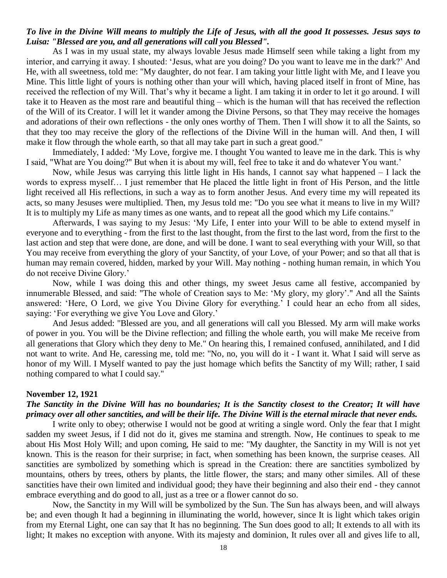## *To live in the Divine Will means to multiply the Life of Jesus, with all the good It possesses. Jesus says to Luisa: "Blessed are you, and all generations will call you Blessed".*

As I was in my usual state, my always lovable Jesus made Himself seen while taking a light from my interior, and carrying it away. I shouted: 'Jesus, what are you doing? Do you want to leave me in the dark?' And He, with all sweetness, told me: "My daughter, do not fear. I am taking your little light with Me, and I leave you Mine. This little light of yours is nothing other than your will which, having placed itself in front of Mine, has received the reflection of my Will. That's why it became a light. I am taking it in order to let it go around. I will take it to Heaven as the most rare and beautiful thing – which is the human will that has received the reflection of the Will of its Creator. I will let it wander among the Divine Persons, so that They may receive the homages and adorations of their own reflections - the only ones worthy of Them. Then I will show it to all the Saints, so that they too may receive the glory of the reflections of the Divine Will in the human will. And then, I will make it flow through the whole earth, so that all may take part in such a great good."

Immediately, I added: 'My Love, forgive me. I thought You wanted to leave me in the dark. This is why I said, "What are You doing?" But when it is about my will, feel free to take it and do whatever You want.'

Now, while Jesus was carrying this little light in His hands, I cannot say what happened – I lack the words to express myself… I just remember that He placed the little light in front of His Person, and the little light received all His reflections, in such a way as to form another Jesus. And every time my will repeated its acts, so many Jesuses were multiplied. Then, my Jesus told me: "Do you see what it means to live in my Will? It is to multiply my Life as many times as one wants, and to repeat all the good which my Life contains."

Afterwards, I was saying to my Jesus: 'My Life, I enter into your Will to be able to extend myself in everyone and to everything - from the first to the last thought, from the first to the last word, from the first to the last action and step that were done, are done, and will be done. I want to seal everything with your Will, so that You may receive from everything the glory of your Sanctity, of your Love, of your Power; and so that all that is human may remain covered, hidden, marked by your Will. May nothing - nothing human remain, in which You do not receive Divine Glory.'

Now, while I was doing this and other things, my sweet Jesus came all festive, accompanied by innumerable Blessed, and said: "The whole of Creation says to Me: 'My glory, my glory'." And all the Saints answered: 'Here, O Lord, we give You Divine Glory for everything.' I could hear an echo from all sides, saying: 'For everything we give You Love and Glory.'

And Jesus added: "Blessed are you, and all generations will call you Blessed. My arm will make works of power in you. You will be the Divine reflection; and filling the whole earth, you will make Me receive from all generations that Glory which they deny to Me." On hearing this, I remained confused, annihilated, and I did not want to write. And He, caressing me, told me: "No, no, you will do it - I want it. What I said will serve as honor of my Will. I Myself wanted to pay the just homage which befits the Sanctity of my Will; rather, I said nothing compared to what I could say."

#### **November 12, 1921**

## *The Sanctity in the Divine Will has no boundaries; It is the Sanctity closest to the Creator; It will have primacy over all other sanctities, and will be their life. The Divine Will is the eternal miracle that never ends.*

I write only to obey; otherwise I would not be good at writing a single word. Only the fear that I might sadden my sweet Jesus, if I did not do it, gives me stamina and strength. Now, He continues to speak to me about His Most Holy Will; and upon coming, He said to me: "My daughter, the Sanctity in my Will is not yet known. This is the reason for their surprise; in fact, when something has been known, the surprise ceases. All sanctities are symbolized by something which is spread in the Creation: there are sanctities symbolized by mountains, others by trees, others by plants, the little flower, the stars; and many other similes. All of these sanctities have their own limited and individual good; they have their beginning and also their end - they cannot embrace everything and do good to all, just as a tree or a flower cannot do so.

Now, the Sanctity in my Will will be symbolized by the Sun. The Sun has always been, and will always be; and even though It had a beginning in illuminating the world, however, since It is light which takes origin from my Eternal Light, one can say that It has no beginning. The Sun does good to all; It extends to all with its light; It makes no exception with anyone. With its majesty and dominion, It rules over all and gives life to all,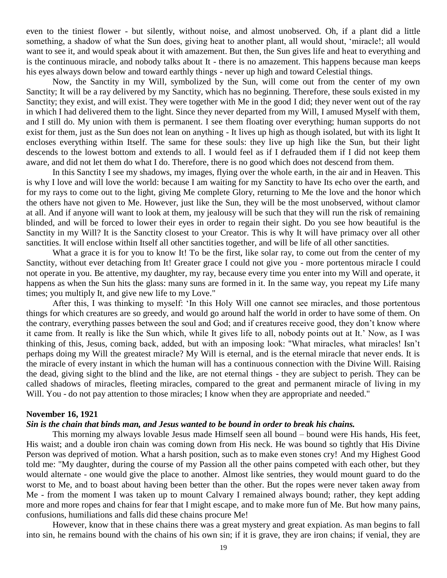even to the tiniest flower - but silently, without noise, and almost unobserved. Oh, if a plant did a little something, a shadow of what the Sun does, giving heat to another plant, all would shout, 'miracle!; all would want to see it, and would speak about it with amazement. But then, the Sun gives life and heat to everything and is the continuous miracle, and nobody talks about It - there is no amazement. This happens because man keeps his eyes always down below and toward earthly things - never up high and toward Celestial things.

Now, the Sanctity in my Will, symbolized by the Sun, will come out from the center of my own Sanctity; It will be a ray delivered by my Sanctity, which has no beginning. Therefore, these souls existed in my Sanctity; they exist, and will exist. They were together with Me in the good I did; they never went out of the ray in which I had delivered them to the light. Since they never departed from my Will, I amused Myself with them, and I still do. My union with them is permanent. I see them floating over everything; human supports do not exist for them, just as the Sun does not lean on anything - It lives up high as though isolated, but with its light It encloses everything within Itself. The same for these souls: they live up high like the Sun, but their light descends to the lowest bottom and extends to all. I would feel as if I defrauded them if I did not keep them aware, and did not let them do what I do. Therefore, there is no good which does not descend from them.

In this Sanctity I see my shadows, my images, flying over the whole earth, in the air and in Heaven. This is why I love and will love the world: because I am waiting for my Sanctity to have Its echo over the earth, and for my rays to come out to the light, giving Me complete Glory, returning to Me the love and the honor which the others have not given to Me. However, just like the Sun, they will be the most unobserved, without clamor at all. And if anyone will want to look at them, my jealousy will be such that they will run the risk of remaining blinded, and will be forced to lower their eyes in order to regain their sight. Do you see how beautiful is the Sanctity in my Will? It is the Sanctity closest to your Creator. This is why It will have primacy over all other sanctities. It will enclose within Itself all other sanctities together, and will be life of all other sanctities.

What a grace it is for you to know It! To be the first, like solar ray, to come out from the center of my Sanctity, without ever detaching from It! Greater grace I could not give you - more portentous miracle I could not operate in you. Be attentive, my daughter, my ray, because every time you enter into my Will and operate, it happens as when the Sun hits the glass: many suns are formed in it. In the same way, you repeat my Life many times; you multiply It, and give new life to my Love."

After this, I was thinking to myself: 'In this Holy Will one cannot see miracles, and those portentous things for which creatures are so greedy, and would go around half the world in order to have some of them. On the contrary, everything passes between the soul and God; and if creatures receive good, they don't know where it came from. It really is like the Sun which, while It gives life to all, nobody points out at It.' Now, as I was thinking of this, Jesus, coming back, added, but with an imposing look: "What miracles, what miracles! Isn't perhaps doing my Will the greatest miracle? My Will is eternal, and is the eternal miracle that never ends. It is the miracle of every instant in which the human will has a continuous connection with the Divine Will. Raising the dead, giving sight to the blind and the like, are not eternal things - they are subject to perish. They can be called shadows of miracles, fleeting miracles, compared to the great and permanent miracle of living in my Will. You - do not pay attention to those miracles; I know when they are appropriate and needed."

### **November 16, 1921**

### *Sin is the chain that binds man, and Jesus wanted to be bound in order to break his chains.*

This morning my always lovable Jesus made Himself seen all bound – bound were His hands, His feet, His waist; and a double iron chain was coming down from His neck. He was bound so tightly that His Divine Person was deprived of motion. What a harsh position, such as to make even stones cry! And my Highest Good told me: "My daughter, during the course of my Passion all the other pains competed with each other, but they would alternate - one would give the place to another. Almost like sentries, they would mount guard to do the worst to Me, and to boast about having been better than the other. But the ropes were never taken away from Me - from the moment I was taken up to mount Calvary I remained always bound; rather, they kept adding more and more ropes and chains for fear that I might escape, and to make more fun of Me. But how many pains, confusions, humiliations and falls did these chains procure Me!

However, know that in these chains there was a great mystery and great expiation. As man begins to fall into sin, he remains bound with the chains of his own sin; if it is grave, they are iron chains; if venial, they are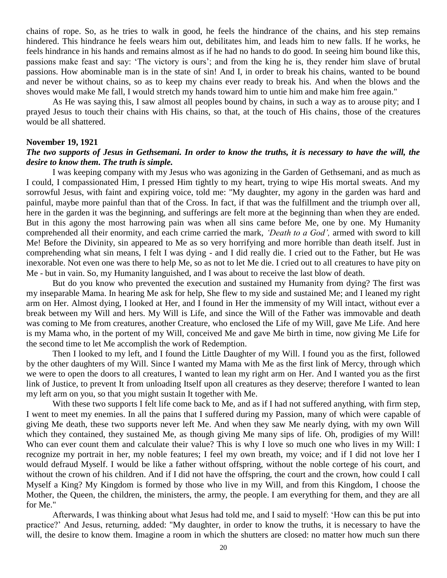chains of rope. So, as he tries to walk in good, he feels the hindrance of the chains, and his step remains hindered. This hindrance he feels wears him out, debilitates him, and leads him to new falls. If he works, he feels hindrance in his hands and remains almost as if he had no hands to do good. In seeing him bound like this, passions make feast and say: 'The victory is ours'; and from the king he is, they render him slave of brutal passions. How abominable man is in the state of sin! And I, in order to break his chains, wanted to be bound and never be without chains, so as to keep my chains ever ready to break his. And when the blows and the shoves would make Me fall, I would stretch my hands toward him to untie him and make him free again."

As He was saying this, I saw almost all peoples bound by chains, in such a way as to arouse pity; and I prayed Jesus to touch their chains with His chains, so that, at the touch of His chains, those of the creatures would be all shattered.

#### **November 19, 1921**

## *The two supports of Jesus in Gethsemani. In order to know the truths, it is necessary to have the will, the desire to know them. The truth is simple.*

I was keeping company with my Jesus who was agonizing in the Garden of Gethsemani, and as much as I could, I compassionated Him, I pressed Him tightly to my heart, trying to wipe His mortal sweats. And my sorrowful Jesus, with faint and expiring voice, told me: "My daughter, my agony in the garden was hard and painful, maybe more painful than that of the Cross. In fact, if that was the fulfillment and the triumph over all, here in the garden it was the beginning, and sufferings are felt more at the beginning than when they are ended. But in this agony the most harrowing pain was when all sins came before Me, one by one. My Humanity comprehended all their enormity, and each crime carried the mark, *'Death to a God',* armed with sword to kill Me! Before the Divinity, sin appeared to Me as so very horrifying and more horrible than death itself. Just in comprehending what sin means, I felt I was dying - and I did really die. I cried out to the Father, but He was inexorable. Not even one was there to help Me, so as not to let Me die. I cried out to all creatures to have pity on Me - but in vain. So, my Humanity languished, and I was about to receive the last blow of death.

But do you know who prevented the execution and sustained my Humanity from dying? The first was my inseparable Mama. In hearing Me ask for help, She flew to my side and sustained Me; and I leaned my right arm on Her. Almost dying, I looked at Her, and I found in Her the immensity of my Will intact, without ever a break between my Will and hers. My Will is Life, and since the Will of the Father was immovable and death was coming to Me from creatures, another Creature, who enclosed the Life of my Will, gave Me Life. And here is my Mama who, in the portent of my Will, conceived Me and gave Me birth in time, now giving Me Life for the second time to let Me accomplish the work of Redemption.

Then I looked to my left, and I found the Little Daughter of my Will. I found you as the first, followed by the other daughters of my Will. Since I wanted my Mama with Me as the first link of Mercy, through which we were to open the doors to all creatures, I wanted to lean my right arm on Her. And I wanted you as the first link of Justice, to prevent It from unloading Itself upon all creatures as they deserve; therefore I wanted to lean my left arm on you, so that you might sustain It together with Me.

With these two supports I felt life come back to Me, and as if I had not suffered anything, with firm step, I went to meet my enemies. In all the pains that I suffered during my Passion, many of which were capable of giving Me death, these two supports never left Me. And when they saw Me nearly dying, with my own Will which they contained, they sustained Me, as though giving Me many sips of life. Oh, prodigies of my Will! Who can ever count them and calculate their value? This is why I love so much one who lives in my Will: I recognize my portrait in her, my noble features; I feel my own breath, my voice; and if I did not love her I would defraud Myself. I would be like a father without offspring, without the noble cortege of his court, and without the crown of his children. And if I did not have the offspring, the court and the crown, how could I call Myself a King? My Kingdom is formed by those who live in my Will, and from this Kingdom, I choose the Mother, the Queen, the children, the ministers, the army, the people. I am everything for them, and they are all for Me."

Afterwards, I was thinking about what Jesus had told me, and I said to myself: 'How can this be put into practice?' And Jesus, returning, added: "My daughter, in order to know the truths, it is necessary to have the will, the desire to know them. Imagine a room in which the shutters are closed: no matter how much sun there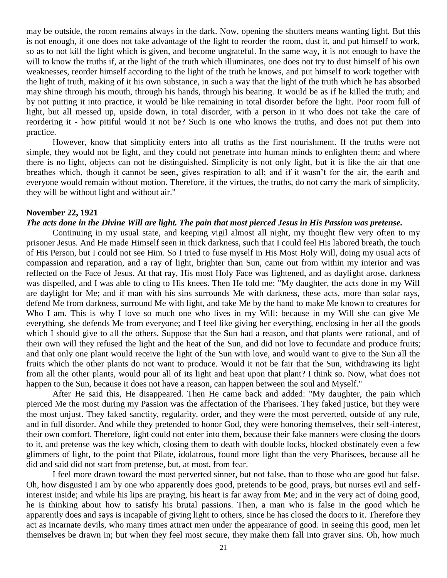may be outside, the room remains always in the dark. Now, opening the shutters means wanting light. But this is not enough, if one does not take advantage of the light to reorder the room, dust it, and put himself to work, so as to not kill the light which is given, and become ungrateful. In the same way, it is not enough to have the will to know the truths if, at the light of the truth which illuminates, one does not try to dust himself of his own weaknesses, reorder himself according to the light of the truth he knows, and put himself to work together with the light of truth, making of it his own substance, in such a way that the light of the truth which he has absorbed may shine through his mouth, through his hands, through his bearing. It would be as if he killed the truth; and by not putting it into practice, it would be like remaining in total disorder before the light. Poor room full of light, but all messed up, upside down, in total disorder, with a person in it who does not take the care of reordering it - how pitiful would it not be? Such is one who knows the truths, and does not put them into practice.

However, know that simplicity enters into all truths as the first nourishment. If the truths were not simple, they would not be light, and they could not penetrate into human minds to enlighten them; and where there is no light, objects can not be distinguished. Simplicity is not only light, but it is like the air that one breathes which, though it cannot be seen, gives respiration to all; and if it wasn't for the air, the earth and everyone would remain without motion. Therefore, if the virtues, the truths, do not carry the mark of simplicity, they will be without light and without air."

### **November 22, 1921**

### *The acts done in the Divine Will are light. The pain that most pierced Jesus in His Passion was pretense.*

Continuing in my usual state, and keeping vigil almost all night, my thought flew very often to my prisoner Jesus. And He made Himself seen in thick darkness, such that I could feel His labored breath, the touch of His Person, but I could not see Him. So I tried to fuse myself in His Most Holy Will, doing my usual acts of compassion and reparation, and a ray of light, brighter than Sun, came out from within my interior and was reflected on the Face of Jesus. At that ray, His most Holy Face was lightened, and as daylight arose, darkness was dispelled, and I was able to cling to His knees. Then He told me: "My daughter, the acts done in my Will are daylight for Me; and if man with his sins surrounds Me with darkness, these acts, more than solar rays, defend Me from darkness, surround Me with light, and take Me by the hand to make Me known to creatures for Who I am. This is why I love so much one who lives in my Will: because in my Will she can give Me everything, she defends Me from everyone; and I feel like giving her everything, enclosing in her all the goods which I should give to all the others. Suppose that the Sun had a reason, and that plants were rational, and of their own will they refused the light and the heat of the Sun, and did not love to fecundate and produce fruits; and that only one plant would receive the light of the Sun with love, and would want to give to the Sun all the fruits which the other plants do not want to produce. Would it not be fair that the Sun, withdrawing its light from all the other plants, would pour all of its light and heat upon that plant? I think so. Now, what does not happen to the Sun, because it does not have a reason, can happen between the soul and Myself."

After He said this, He disappeared. Then He came back and added: "My daughter, the pain which pierced Me the most during my Passion was the affectation of the Pharisees. They faked justice, but they were the most unjust. They faked sanctity, regularity, order, and they were the most perverted, outside of any rule, and in full disorder. And while they pretended to honor God, they were honoring themselves, their self-interest, their own comfort. Therefore, light could not enter into them, because their fake manners were closing the doors to it, and pretense was the key which, closing them to death with double locks, blocked obstinately even a few glimmers of light, to the point that Pilate, idolatrous, found more light than the very Pharisees, because all he did and said did not start from pretense, but, at most, from fear.

I feel more drawn toward the most perverted sinner, but not false, than to those who are good but false. Oh, how disgusted I am by one who apparently does good, pretends to be good, prays, but nurses evil and selfinterest inside; and while his lips are praying, his heart is far away from Me; and in the very act of doing good, he is thinking about how to satisfy his brutal passions. Then, a man who is false in the good which he apparently does and says is incapable of giving light to others, since he has closed the doors to it. Therefore they act as incarnate devils, who many times attract men under the appearance of good. In seeing this good, men let themselves be drawn in; but when they feel most secure, they make them fall into graver sins. Oh, how much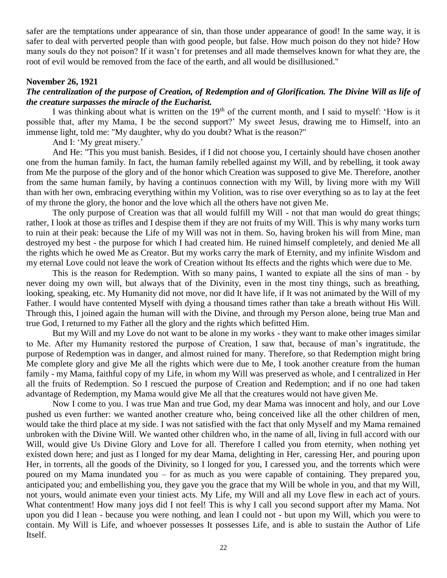safer are the temptations under appearance of sin, than those under appearance of good! In the same way, it is safer to deal with perverted people than with good people, but false. How much poison do they not hide? How many souls do they not poison? If it wasn't for pretenses and all made themselves known for what they are, the root of evil would be removed from the face of the earth, and all would be disillusioned."

## **November 26, 1921**

## *The centralization of the purpose of Creation, of Redemption and of Glorification. The Divine Will as life of the creature surpasses the miracle of the Eucharist.*

I was thinking about what is written on the 19<sup>th</sup> of the current month, and I said to myself: 'How is it possible that, after my Mama, I be the second support?' My sweet Jesus, drawing me to Himself, into an immense light, told me: "My daughter, why do you doubt? What is the reason?"

And I: 'My great misery.'

And He: "This you must banish. Besides, if I did not choose you, I certainly should have chosen another one from the human family. In fact, the human family rebelled against my Will, and by rebelling, it took away from Me the purpose of the glory and of the honor which Creation was supposed to give Me. Therefore, another from the same human family, by having a continuos connection with my Will, by living more with my Will than with her own, embracing everything within my Volition, was to rise over everything so as to lay at the feet of my throne the glory, the honor and the love which all the others have not given Me.

The only purpose of Creation was that all would fulfill my Will - not that man would do great things; rather, I look at those as trifles and I despise them if they are not fruits of my Will. This is why many works turn to ruin at their peak: because the Life of my Will was not in them. So, having broken his will from Mine, man destroyed my best - the purpose for which I had created him. He ruined himself completely, and denied Me all the rights which he owed Me as Creator. But my works carry the mark of Eternity, and my infinite Wisdom and my eternal Love could not leave the work of Creation without Its effects and the rights which were due to Me.

This is the reason for Redemption. With so many pains, I wanted to expiate all the sins of man - by never doing my own will, but always that of the Divinity, even in the most tiny things, such as breathing, looking, speaking, etc. My Humanity did not move, nor did It have life, if It was not animated by the Will of my Father. I would have contented Myself with dying a thousand times rather than take a breath without His Will. Through this, I joined again the human will with the Divine, and through my Person alone, being true Man and true God, I returned to my Father all the glory and the rights which befitted Him.

But my Will and my Love do not want to be alone in my works - they want to make other images similar to Me. After my Humanity restored the purpose of Creation, I saw that, because of man's ingratitude, the purpose of Redemption was in danger, and almost ruined for many. Therefore, so that Redemption might bring Me complete glory and give Me all the rights which were due to Me, I took another creature from the human family - my Mama, faithful copy of my Life, in whom my Will was preserved as whole, and I centralized in Her all the fruits of Redemption. So I rescued the purpose of Creation and Redemption; and if no one had taken advantage of Redemption, my Mama would give Me all that the creatures would not have given Me.

Now I come to you. I was true Man and true God, my dear Mama was innocent and holy, and our Love pushed us even further: we wanted another creature who, being conceived like all the other children of men, would take the third place at my side. I was not satisfied with the fact that only Myself and my Mama remained unbroken with the Divine Will. We wanted other children who, in the name of all, living in full accord with our Will, would give Us Divine Glory and Love for all. Therefore I called you from eternity, when nothing yet existed down here; and just as I longed for my dear Mama, delighting in Her, caressing Her, and pouring upon Her, in torrents, all the goods of the Divinity, so I longed for you, I caressed you, and the torrents which were poured on my Mama inundated you – for as much as you were capable of containing. They prepared you, anticipated you; and embellishing you, they gave you the grace that my Will be whole in you, and that my Will, not yours, would animate even your tiniest acts. My Life, my Will and all my Love flew in each act of yours. What contentment! How many joys did I not feel! This is why I call you second support after my Mama. Not upon you did I lean - because you were nothing, and lean I could not - but upon my Will, which you were to contain. My Will is Life, and whoever possesses It possesses Life, and is able to sustain the Author of Life Itself.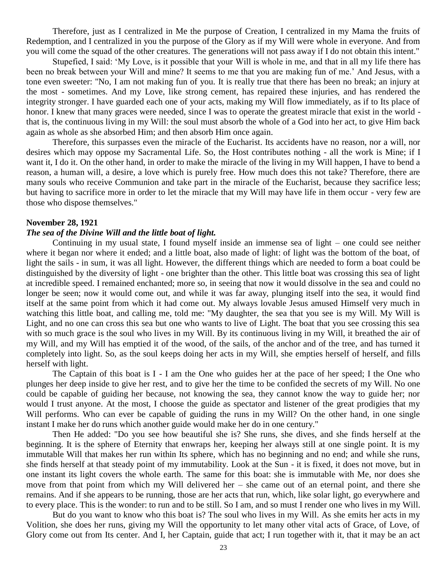Therefore, just as I centralized in Me the purpose of Creation, I centralized in my Mama the fruits of Redemption, and I centralized in you the purpose of the Glory as if my Will were whole in everyone. And from you will come the squad of the other creatures. The generations will not pass away if I do not obtain this intent."

Stupefied, I said: 'My Love, is it possible that your Will is whole in me, and that in all my life there has been no break between your Will and mine? It seems to me that you are making fun of me.' And Jesus, with a tone even sweeter: "No, I am not making fun of you. It is really true that there has been no break; an injury at the most - sometimes. And my Love, like strong cement, has repaired these injuries, and has rendered the integrity stronger. I have guarded each one of your acts, making my Will flow immediately, as if to Its place of honor. I knew that many graces were needed, since I was to operate the greatest miracle that exist in the world that is, the continuous living in my Will: the soul must absorb the whole of a God into her act, to give Him back again as whole as she absorbed Him; and then absorb Him once again.

Therefore, this surpasses even the miracle of the Eucharist. Its accidents have no reason, nor a will, nor desires which may oppose my Sacramental Life. So, the Host contributes nothing - all the work is Mine; if I want it, I do it. On the other hand, in order to make the miracle of the living in my Will happen, I have to bend a reason, a human will, a desire, a love which is purely free. How much does this not take? Therefore, there are many souls who receive Communion and take part in the miracle of the Eucharist, because they sacrifice less; but having to sacrifice more in order to let the miracle that my Will may have life in them occur - very few are those who dispose themselves."

#### **November 28, 1921**

### *The sea of the Divine Will and the little boat of light.*

Continuing in my usual state, I found myself inside an immense sea of light – one could see neither where it began nor where it ended; and a little boat, also made of light: of light was the bottom of the boat, of light the sails - in sum, it was all light. However, the different things which are needed to form a boat could be distinguished by the diversity of light - one brighter than the other. This little boat was crossing this sea of light at incredible speed. I remained enchanted; more so, in seeing that now it would dissolve in the sea and could no longer be seen; now it would come out, and while it was far away, plunging itself into the sea, it would find itself at the same point from which it had come out. My always lovable Jesus amused Himself very much in watching this little boat, and calling me, told me: "My daughter, the sea that you see is my Will. My Will is Light, and no one can cross this sea but one who wants to live of Light. The boat that you see crossing this sea with so much grace is the soul who lives in my Will. By its continuous living in my Will, it breathed the air of my Will, and my Will has emptied it of the wood, of the sails, of the anchor and of the tree, and has turned it completely into light. So, as the soul keeps doing her acts in my Will, she empties herself of herself, and fills herself with light.

The Captain of this boat is I - I am the One who guides her at the pace of her speed; I the One who plunges her deep inside to give her rest, and to give her the time to be confided the secrets of my Will. No one could be capable of guiding her because, not knowing the sea, they cannot know the way to guide her; nor would I trust anyone. At the most, I choose the guide as spectator and listener of the great prodigies that my Will performs. Who can ever be capable of guiding the runs in my Will? On the other hand, in one single instant I make her do runs which another guide would make her do in one century."

Then He added: "Do you see how beautiful she is? She runs, she dives, and she finds herself at the beginning. It is the sphere of Eternity that enwraps her, keeping her always still at one single point. It is my immutable Will that makes her run within Its sphere, which has no beginning and no end; and while she runs, she finds herself at that steady point of my immutability. Look at the Sun - it is fixed, it does not move, but in one instant its light covers the whole earth. The same for this boat: she is immutable with Me, nor does she move from that point from which my Will delivered her – she came out of an eternal point, and there she remains. And if she appears to be running, those are her acts that run, which, like solar light, go everywhere and to every place. This is the wonder: to run and to be still. So I am, and so must I render one who lives in my Will.

But do you want to know who this boat is? The soul who lives in my Will. As she emits her acts in my Volition, she does her runs, giving my Will the opportunity to let many other vital acts of Grace, of Love, of Glory come out from Its center. And I, her Captain, guide that act; I run together with it, that it may be an act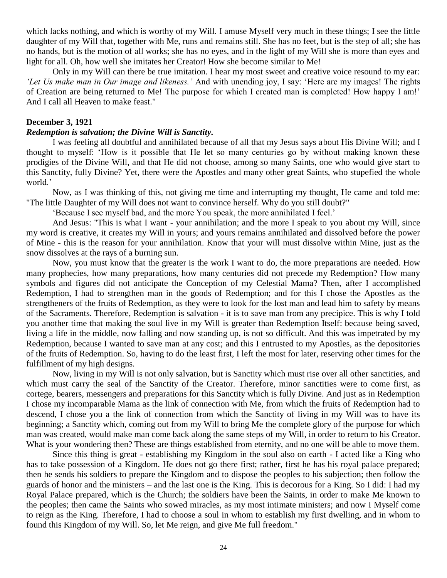which lacks nothing, and which is worthy of my Will. I amuse Myself very much in these things; I see the little daughter of my Will that, together with Me, runs and remains still. She has no feet, but is the step of all; she has no hands, but is the motion of all works; she has no eyes, and in the light of my Will she is more than eyes and light for all. Oh, how well she imitates her Creator! How she become similar to Me!

Only in my Will can there be true imitation. I hear my most sweet and creative voice resound to my ear: *'Let Us make man in Our image and likeness.'* And with unending joy, I say: 'Here are my images! The rights of Creation are being returned to Me! The purpose for which I created man is completed! How happy I am!' And I call all Heaven to make feast."

### **December 3, 1921**

## *Redemption is salvation; the Divine Will is Sanctity.*

I was feeling all doubtful and annihilated because of all that my Jesus says about His Divine Will; and I thought to myself: 'How is it possible that He let so many centuries go by without making known these prodigies of the Divine Will, and that He did not choose, among so many Saints, one who would give start to this Sanctity, fully Divine? Yet, there were the Apostles and many other great Saints, who stupefied the whole world.'

Now, as I was thinking of this, not giving me time and interrupting my thought, He came and told me: "The little Daughter of my Will does not want to convince herself. Why do you still doubt?"

'Because I see myself bad, and the more You speak, the more annihilated I feel.'

And Jesus: "This is what I want - your annihilation; and the more I speak to you about my Will, since my word is creative, it creates my Will in yours; and yours remains annihilated and dissolved before the power of Mine - this is the reason for your annihilation. Know that your will must dissolve within Mine, just as the snow dissolves at the rays of a burning sun.

Now, you must know that the greater is the work I want to do, the more preparations are needed. How many prophecies, how many preparations, how many centuries did not precede my Redemption? How many symbols and figures did not anticipate the Conception of my Celestial Mama? Then, after I accomplished Redemption, I had to strengthen man in the goods of Redemption; and for this I chose the Apostles as the strengtheners of the fruits of Redemption, as they were to look for the lost man and lead him to safety by means of the Sacraments. Therefore, Redemption is salvation - it is to save man from any precipice. This is why I told you another time that making the soul live in my Will is greater than Redemption Itself: because being saved, living a life in the middle, now falling and now standing up, is not so difficult. And this was impetrated by my Redemption, because I wanted to save man at any cost; and this I entrusted to my Apostles, as the depositories of the fruits of Redemption. So, having to do the least first, I left the most for later, reserving other times for the fulfillment of my high designs.

Now, living in my Will is not only salvation, but is Sanctity which must rise over all other sanctities, and which must carry the seal of the Sanctity of the Creator. Therefore, minor sanctities were to come first, as cortege, bearers, messengers and preparations for this Sanctity which is fully Divine. And just as in Redemption I chose my incomparable Mama as the link of connection with Me, from which the fruits of Redemption had to descend, I chose you a the link of connection from which the Sanctity of living in my Will was to have its beginning; a Sanctity which, coming out from my Will to bring Me the complete glory of the purpose for which man was created, would make man come back along the same steps of my Will, in order to return to his Creator. What is your wondering then? These are things established from eternity, and no one will be able to move them.

Since this thing is great - establishing my Kingdom in the soul also on earth - I acted like a King who has to take possession of a Kingdom. He does not go there first; rather, first he has his royal palace prepared; then he sends his soldiers to prepare the Kingdom and to dispose the peoples to his subjection; then follow the guards of honor and the ministers – and the last one is the King. This is decorous for a King. So I did: I had my Royal Palace prepared, which is the Church; the soldiers have been the Saints, in order to make Me known to the peoples; then came the Saints who sowed miracles, as my most intimate ministers; and now I Myself come to reign as the King. Therefore, I had to choose a soul in whom to establish my first dwelling, and in whom to found this Kingdom of my Will. So, let Me reign, and give Me full freedom."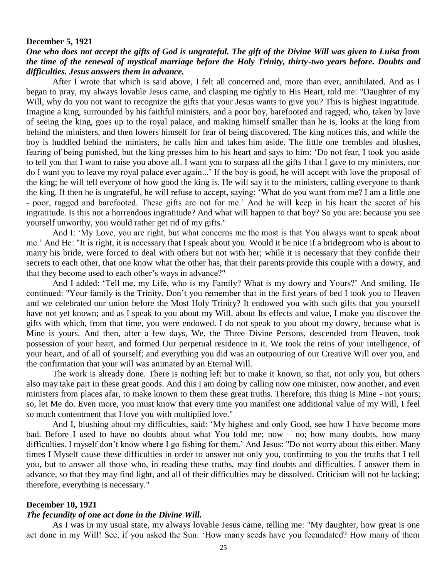#### **December 5, 1921**

## *One who does not accept the gifts of God is ungrateful. The gift of the Divine Will was given to Luisa from the time of the renewal of mystical marriage before the Holy Trinity, thirty-two years before. Doubts and difficulties. Jesus answers them in advance.*

After I wrote that which is said above, I felt all concerned and, more than ever, annihilated. And as I began to pray, my always lovable Jesus came, and clasping me tightly to His Heart, told me: "Daughter of my Will, why do you not want to recognize the gifts that your Jesus wants to give you? This is highest ingratitude. Imagine a king, surrounded by his faithful ministers, and a poor boy, barefooted and ragged, who, taken by love of seeing the king, goes up to the royal palace, and making himself smaller than he is, looks at the king from behind the ministers, and then lowers himself for fear of being discovered. The king notices this, and while the boy is huddled behind the ministers, he calls him and takes him aside. The little one trembles and blushes, fearing of being punished, but the king presses him to his heart and says to him: 'Do not fear, I took you aside to tell you that I want to raise you above all. I want you to surpass all the gifts I that I gave to my ministers, nor do I want you to leave my royal palace ever again...' If the boy is good, he will accept with love the proposal of the king; he will tell everyone of how good the king is. He will say it to the ministers, calling everyone to thank the king. If then he is ungrateful, he will refuse to accept, saying: 'What do you want from me? I am a little one - poor, ragged and barefooted. These gifts are not for me.' And he will keep in his heart the secret of his ingratitude. Is this not a horrendous ingratitude? And what will happen to that boy? So you are: because you see yourself unworthy, you would rather get rid of my gifts."

And I: 'My Love, you are right, but what concerns me the most is that You always want to speak about me.' And He: "It is right, it is necessary that I speak about you. Would it be nice if a bridegroom who is about to marry his bride, were forced to deal with others but not with her; while it is necessary that they confide their secrets to each other, that one know what the other has, that their parents provide this couple with a dowry, and that they become used to each other's ways in advance?"

And I added: 'Tell me, my Life, who is my Family? What is my dowry and Yours?' And smiling, He continued: "Your family is the Trinity. Don't you remember that in the first years of bed I took you to Heaven and we celebrated our union before the Most Holy Trinity? It endowed you with such gifts that you yourself have not yet known; and as I speak to you about my Will, about Its effects and value, I make you discover the gifts with which, from that time, you were endowed. I do not speak to you about my dowry, because what is Mine is yours. And then, after a few days, We, the Three Divine Persons, descended from Heaven, took possession of your heart, and formed Our perpetual residence in it. We took the reins of your intelligence, of your heart, and of all of yourself; and everything you did was an outpouring of our Creative Will over you, and the confirmation that your will was animated by an Eternal Will.

The work is already done. There is nothing left but to make it known, so that, not only you, but others also may take part in these great goods. And this I am doing by calling now one minister, now another, and even ministers from places afar, to make known to them these great truths. Therefore, this thing is Mine - not yours; so, let Me do. Even more, you must know that every time you manifest one additional value of my Will, I feel so much contentment that I love you with multiplied love."

And I, blushing about my difficulties, said: 'My highest and only Good, see how I have become more bad. Before I used to have no doubts about what You told me; now – no; how many doubts, how many difficulties. I myself don't know where I go fishing for them.' And Jesus: "Do not worry about this either. Many times I Myself cause these difficulties in order to answer not only you, confirming to you the truths that I tell you, but to answer all those who, in reading these truths, may find doubts and difficulties. I answer them in advance, so that they may find light, and all of their difficulties may be dissolved. Criticism will not be lacking; therefore, everything is necessary."

#### **December 10, 1921**

#### *The fecundity of one act done in the Divine Will.*

As I was in my usual state, my always lovable Jesus came, telling me: "My daughter, how great is one act done in my Will! See, if you asked the Sun: 'How many seeds have you fecundated? How many of them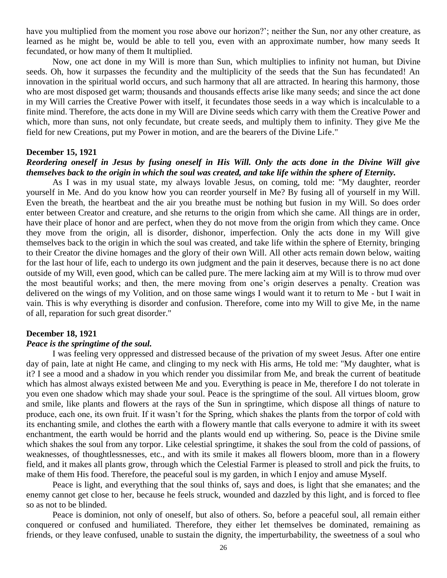have you multiplied from the moment you rose above our horizon?'; neither the Sun, nor any other creature, as learned as he might be, would be able to tell you, even with an approximate number, how many seeds It fecundated, or how many of them It multiplied.

Now, one act done in my Will is more than Sun, which multiplies to infinity not human, but Divine seeds. Oh, how it surpasses the fecundity and the multiplicity of the seeds that the Sun has fecundated! An innovation in the spiritual world occurs, and such harmony that all are attracted. In hearing this harmony, those who are most disposed get warm; thousands and thousands effects arise like many seeds; and since the act done in my Will carries the Creative Power with itself, it fecundates those seeds in a way which is incalculable to a finite mind. Therefore, the acts done in my Will are Divine seeds which carry with them the Creative Power and which, more than suns, not only fecundate, but create seeds, and multiply them to infinity. They give Me the field for new Creations, put my Power in motion, and are the bearers of the Divine Life."

### **December 15, 1921**

## *Reordering oneself in Jesus by fusing oneself in His Will. Only the acts done in the Divine Will give themselves back to the origin in which the soul was created, and take life within the sphere of Eternity.*

As I was in my usual state, my always lovable Jesus, on coming, told me: "My daughter, reorder yourself in Me. And do you know how you can reorder yourself in Me? By fusing all of yourself in my Will. Even the breath, the heartbeat and the air you breathe must be nothing but fusion in my Will. So does order enter between Creator and creature, and she returns to the origin from which she came. All things are in order, have their place of honor and are perfect, when they do not move from the origin from which they came. Once they move from the origin, all is disorder, dishonor, imperfection. Only the acts done in my Will give themselves back to the origin in which the soul was created, and take life within the sphere of Eternity, bringing to their Creator the divine homages and the glory of their own Will. All other acts remain down below, waiting for the last hour of life, each to undergo its own judgment and the pain it deserves, because there is no act done outside of my Will, even good, which can be called pure. The mere lacking aim at my Will is to throw mud over the most beautiful works; and then, the mere moving from one's origin deserves a penalty. Creation was delivered on the wings of my Volition, and on those same wings I would want it to return to Me - but I wait in vain. This is why everything is disorder and confusion. Therefore, come into my Will to give Me, in the name of all, reparation for such great disorder."

### **December 18, 1921**

### *Peace is the springtime of the soul.*

I was feeling very oppressed and distressed because of the privation of my sweet Jesus. After one entire day of pain, late at night He came, and clinging to my neck with His arms, He told me: "My daughter, what is it? I see a mood and a shadow in you which render you dissimilar from Me, and break the current of beatitude which has almost always existed between Me and you. Everything is peace in Me, therefore I do not tolerate in you even one shadow which may shade your soul. Peace is the springtime of the soul. All virtues bloom, grow and smile, like plants and flowers at the rays of the Sun in springtime, which dispose all things of nature to produce, each one, its own fruit. If it wasn't for the Spring, which shakes the plants from the torpor of cold with its enchanting smile, and clothes the earth with a flowery mantle that calls everyone to admire it with its sweet enchantment, the earth would be horrid and the plants would end up withering. So, peace is the Divine smile which shakes the soul from any torpor. Like celestial springtime, it shakes the soul from the cold of passions, of weaknesses, of thoughtlessnesses, etc., and with its smile it makes all flowers bloom, more than in a flowery field, and it makes all plants grow, through which the Celestial Farmer is pleased to stroll and pick the fruits, to make of them His food. Therefore, the peaceful soul is my garden, in which I enjoy and amuse Myself.

Peace is light, and everything that the soul thinks of, says and does, is light that she emanates; and the enemy cannot get close to her, because he feels struck, wounded and dazzled by this light, and is forced to flee so as not to be blinded.

Peace is dominion, not only of oneself, but also of others. So, before a peaceful soul, all remain either conquered or confused and humiliated. Therefore, they either let themselves be dominated, remaining as friends, or they leave confused, unable to sustain the dignity, the imperturbability, the sweetness of a soul who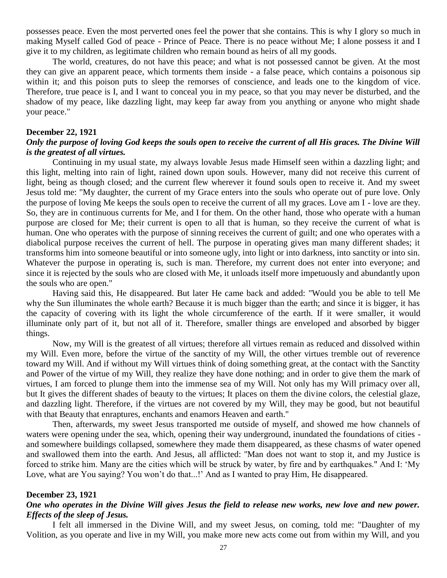possesses peace. Even the most perverted ones feel the power that she contains. This is why I glory so much in making Myself called God of peace - Prince of Peace. There is no peace without Me; I alone possess it and I give it to my children, as legitimate children who remain bound as heirs of all my goods.

The world, creatures, do not have this peace; and what is not possessed cannot be given. At the most they can give an apparent peace, which torments them inside - a false peace, which contains a poisonous sip within it; and this poison puts to sleep the remorses of conscience, and leads one to the kingdom of vice. Therefore, true peace is I, and I want to conceal you in my peace, so that you may never be disturbed, and the shadow of my peace, like dazzling light, may keep far away from you anything or anyone who might shade your peace."

## **December 22, 1921**

## *Only the purpose of loving God keeps the souls open to receive the current of all His graces. The Divine Will is the greatest of all virtues.*

Continuing in my usual state, my always lovable Jesus made Himself seen within a dazzling light; and this light, melting into rain of light, rained down upon souls. However, many did not receive this current of light, being as though closed; and the current flew wherever it found souls open to receive it. And my sweet Jesus told me: "My daughter, the current of my Grace enters into the souls who operate out of pure love. Only the purpose of loving Me keeps the souls open to receive the current of all my graces. Love am I - love are they. So, they are in continuous currents for Me, and I for them. On the other hand, those who operate with a human purpose are closed for Me; their current is open to all that is human, so they receive the current of what is human. One who operates with the purpose of sinning receives the current of guilt; and one who operates with a diabolical purpose receives the current of hell. The purpose in operating gives man many different shades; it transforms him into someone beautiful or into someone ugly, into light or into darkness, into sanctity or into sin. Whatever the purpose in operating is, such is man. Therefore, my current does not enter into everyone; and since it is rejected by the souls who are closed with Me, it unloads itself more impetuously and abundantly upon the souls who are open."

Having said this, He disappeared. But later He came back and added: "Would you be able to tell Me why the Sun illuminates the whole earth? Because it is much bigger than the earth; and since it is bigger, it has the capacity of covering with its light the whole circumference of the earth. If it were smaller, it would illuminate only part of it, but not all of it. Therefore, smaller things are enveloped and absorbed by bigger things.

Now, my Will is the greatest of all virtues; therefore all virtues remain as reduced and dissolved within my Will. Even more, before the virtue of the sanctity of my Will, the other virtues tremble out of reverence toward my Will. And if without my Will virtues think of doing something great, at the contact with the Sanctity and Power of the virtue of my Will, they realize they have done nothing; and in order to give them the mark of virtues, I am forced to plunge them into the immense sea of my Will. Not only has my Will primacy over all, but It gives the different shades of beauty to the virtues; It places on them the divine colors, the celestial glaze, and dazzling light. Therefore, if the virtues are not covered by my Will, they may be good, but not beautiful with that Beauty that enraptures, enchants and enamors Heaven and earth."

Then, afterwards, my sweet Jesus transported me outside of myself, and showed me how channels of waters were opening under the sea, which, opening their way underground, inundated the foundations of cities and somewhere buildings collapsed, somewhere they made them disappeared, as these chasms of water opened and swallowed them into the earth. And Jesus, all afflicted: "Man does not want to stop it, and my Justice is forced to strike him. Many are the cities which will be struck by water, by fire and by earthquakes." And I: 'My Love, what are You saying? You won't do that...!' And as I wanted to pray Him, He disappeared.

### **December 23, 1921**

## *One who operates in the Divine Will gives Jesus the field to release new works, new love and new power. Effects of the sleep of Jesus.*

I felt all immersed in the Divine Will, and my sweet Jesus, on coming, told me: "Daughter of my Volition, as you operate and live in my Will, you make more new acts come out from within my Will, and you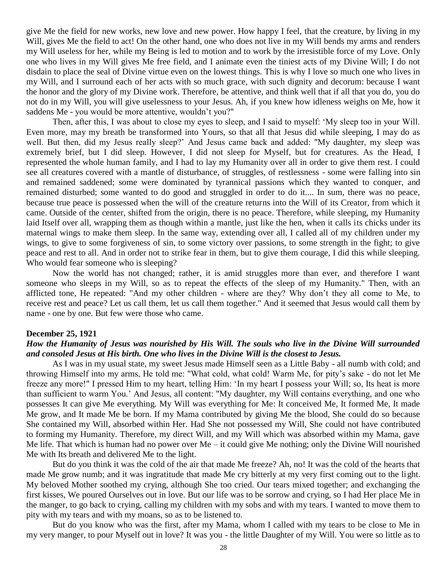give Me the field for new works, new love and new power. How happy I feel, that the creature, by living in my Will, gives Me the field to act! On the other hand, one who does not live in my Will bends my arms and renders my Will useless for her, while my Being is led to motion and to work by the irresistible force of my Love. Only one who lives in my Will gives Me free field, and I animate even the tiniest acts of my Divine Will; I do not disdain to place the seal of Divine virtue even on the lowest things. This is why I love so much one who lives in my Will, and I surround each of her acts with so much grace, with such dignity and decorum: because I want the honor and the glory of my Divine work. Therefore, be attentive, and think well that if all that you do, you do not do in my Will, you will give uselessness to your Jesus. Ah, if you knew how idleness weighs on Me, how it saddens Me - you would be more attentive, wouldn't you?"

Then, after this, I was about to close my eyes to sleep, and I said to myself: 'My sleep too in your Will. Even more, may my breath be transformed into Yours, so that all that Jesus did while sleeping, I may do as well. But then, did my Jesus really sleep?' And Jesus came back and added: "My daughter, my sleep was extremely brief, but I did sleep. However, I did not sleep for Myself, but for creatures. As the Head, I represented the whole human family, and I had to lay my Humanity over all in order to give them rest. I could see all creatures covered with a mantle of disturbance, of struggles, of restlessness - some were falling into sin and remained saddened; some were dominated by tyrannical passions which they wanted to conquer, and remained disturbed; some wanted to do good and struggled in order to do it.... In sum, there was no peace, because true peace is possessed when the will of the creature returns into the Will of its Creator, from which it came. Outside of the center, shifted from the origin, there is no peace. Therefore, while sleeping, my Humanity laid Itself over all, wrapping them as though within a mantle, just like the hen, when it calls its chicks under its maternal wings to make them sleep. In the same way, extending over all, I called all of my children under my wings, to give to some forgiveness of sin, to some victory over passions, to some strength in the fight; to give peace and rest to all. And in order not to strike fear in them, but to give them courage, I did this while sleeping. Who would fear someone who is sleeping?

Now the world has not changed; rather, it is amid struggles more than ever, and therefore I want someone who sleeps in my Will, so as to repeat the effects of the sleep of my Humanity." Then, with an afflicted tone, He repeated: "And my other children - where are they? Why don't they all come to Me, to receive rest and peace? Let us call them, let us call them together." And it seemed that Jesus would call them by name - one by one. But few were those who came.

#### **December 25, 1921**

### *How the Humanity of Jesus was nourished by His Will. The souls who live in the Divine Will surrounded and consoled Jesus at His birth. One who lives in the Divine Will is the closest to Jesus.*

As I was in my usual state, my sweet Jesus made Himself seen as a Little Baby - all numb with cold; and throwing Himself into my arms, He told me: "What cold, what cold! Warm Me, for pity's sake - do not let Me freeze any more!" I pressed Him to my heart, telling Him: 'In my heart I possess your Will; so, Its heat is more than sufficient to warm You.' And Jesus, all content: "My daughter, my Will contains everything, and one who possesses It can give Me everything. My Will was everything for Me: It conceived Me, It formed Me, It made Me grow, and It made Me be born. If my Mama contributed by giving Me the blood, She could do so because She contained my Will, absorbed within Her. Had She not possessed my Will, She could not have contributed to forming my Humanity. Therefore, my direct Will, and my Will which was absorbed within my Mama, gave Me life. That which is human had no power over Me – it could give Me nothing; only the Divine Will nourished Me with Its breath and delivered Me to the light.

But do you think it was the cold of the air that made Me freeze? Ah, no! It was the cold of the hearts that made Me grow numb; and it was ingratitude that made Me cry bitterly at my very first coming out to the light. My beloved Mother soothed my crying, although She too cried. Our tears mixed together; and exchanging the first kisses, We poured Ourselves out in love. But our life was to be sorrow and crying, so I had Her place Me in the manger, to go back to crying, calling my children with my sobs and with my tears. I wanted to move them to pity with my tears and with my moans, so as to be listened to.

But do you know who was the first, after my Mama, whom I called with my tears to be close to Me in my very manger, to pour Myself out in love? It was you - the little Daughter of my Will. You were so little as to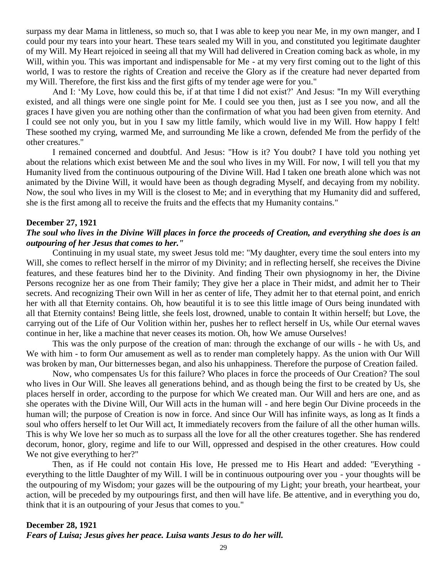surpass my dear Mama in littleness, so much so, that I was able to keep you near Me, in my own manger, and I could pour my tears into your heart. These tears sealed my Will in you, and constituted you legitimate daughter of my Will. My Heart rejoiced in seeing all that my Will had delivered in Creation coming back as whole, in my Will, within you. This was important and indispensable for Me - at my very first coming out to the light of this world, I was to restore the rights of Creation and receive the Glory as if the creature had never departed from my Will. Therefore, the first kiss and the first gifts of my tender age were for you."

And I: 'My Love, how could this be, if at that time I did not exist?' And Jesus: "In my Will everything existed, and all things were one single point for Me. I could see you then, just as I see you now, and all the graces I have given you are nothing other than the confirmation of what you had been given from eternity. And I could see not only you, but in you I saw my little family, which would live in my Will. How happy I felt! These soothed my crying, warmed Me, and surrounding Me like a crown, defended Me from the perfidy of the other creatures."

I remained concerned and doubtful. And Jesus: "How is it? You doubt? I have told you nothing yet about the relations which exist between Me and the soul who lives in my Will. For now, I will tell you that my Humanity lived from the continuous outpouring of the Divine Will. Had I taken one breath alone which was not animated by the Divine Will, it would have been as though degrading Myself, and decaying from my nobility. Now, the soul who lives in my Will is the closest to Me; and in everything that my Humanity did and suffered, she is the first among all to receive the fruits and the effects that my Humanity contains."

#### **December 27, 1921**

## *The soul who lives in the Divine Will places in force the proceeds of Creation, and everything she does is an outpouring of her Jesus that comes to her."*

Continuing in my usual state, my sweet Jesus told me: "My daughter, every time the soul enters into my Will, she comes to reflect herself in the mirror of my Divinity; and in reflecting herself, she receives the Divine features, and these features bind her to the Divinity. And finding Their own physiognomy in her, the Divine Persons recognize her as one from Their family; They give her a place in Their midst, and admit her to Their secrets. And recognizing Their own Will in her as center of life, They admit her to that eternal point, and enrich her with all that Eternity contains. Oh, how beautiful it is to see this little image of Ours being inundated with all that Eternity contains! Being little, she feels lost, drowned, unable to contain It within herself; but Love, the carrying out of the Life of Our Volition within her, pushes her to reflect herself in Us, while Our eternal waves continue in her, like a machine that never ceases its motion. Oh, how We amuse Ourselves!

This was the only purpose of the creation of man: through the exchange of our wills - he with Us, and We with him - to form Our amusement as well as to render man completely happy. As the union with Our Will was broken by man, Our bitternesses began, and also his unhappiness. Therefore the purpose of Creation failed.

Now, who compensates Us for this failure? Who places in force the proceeds of Our Creation? The soul who lives in Our Will. She leaves all generations behind, and as though being the first to be created by Us, she places herself in order, according to the purpose for which We created man. Our Will and hers are one, and as she operates with the Divine Will, Our Will acts in the human will - and here begin Our Divine proceeds in the human will; the purpose of Creation is now in force. And since Our Will has infinite ways, as long as It finds a soul who offers herself to let Our Will act, It immediately recovers from the failure of all the other human wills. This is why We love her so much as to surpass all the love for all the other creatures together. She has rendered decorum, honor, glory, regime and life to our Will, oppressed and despised in the other creatures. How could We not give everything to her?"

Then, as if He could not contain His love, He pressed me to His Heart and added: "Everything everything to the little Daughter of my Will. I will be in continuous outpouring over you - your thoughts will be the outpouring of my Wisdom; your gazes will be the outpouring of my Light; your breath, your heartbeat, your action, will be preceded by my outpourings first, and then will have life. Be attentive, and in everything you do, think that it is an outpouring of your Jesus that comes to you."

#### **December 28, 1921**

*Fears of Luisa; Jesus gives her peace. Luisa wants Jesus to do her will.*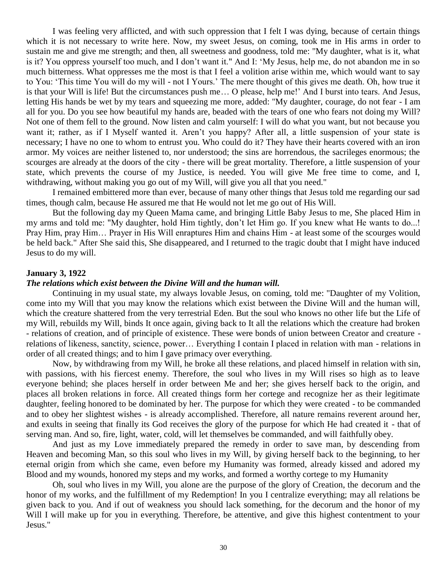I was feeling very afflicted, and with such oppression that I felt I was dying, because of certain things which it is not necessary to write here. Now, my sweet Jesus, on coming, took me in His arms in order to sustain me and give me strength; and then, all sweetness and goodness, told me: "My daughter, what is it, what is it? You oppress yourself too much, and I don't want it." And I: 'My Jesus, help me, do not abandon me in so much bitterness. What oppresses me the most is that I feel a volition arise within me, which would want to say to You: 'This time You will do my will - not I Yours.' The mere thought of this gives me death. Oh, how true it is that your Will is life! But the circumstances push me… O please, help me!' And I burst into tears. And Jesus, letting His hands be wet by my tears and squeezing me more, added: "My daughter, courage, do not fear - I am all for you. Do you see how beautiful my hands are, beaded with the tears of one who fears not doing my Will? Not one of them fell to the ground. Now listen and calm yourself: I will do what you want, but not because you want it; rather, as if I Myself wanted it. Aren't you happy? After all, a little suspension of your state is necessary; I have no one to whom to entrust you. Who could do it? They have their hearts covered with an iron armor. My voices are neither listened to, nor understood; the sins are horrendous, the sacrileges enormous; the scourges are already at the doors of the city - there will be great mortality. Therefore, a little suspension of your state, which prevents the course of my Justice, is needed. You will give Me free time to come, and I, withdrawing, without making you go out of my Will, will give you all that you need."

I remained embittered more than ever, because of many other things that Jesus told me regarding our sad times, though calm, because He assured me that He would not let me go out of His Will.

But the following day my Queen Mama came, and bringing Little Baby Jesus to me, She placed Him in my arms and told me: "My daughter, hold Him tightly, don't let Him go. If you knew what He wants to do...! Pray Him, pray Him… Prayer in His Will enraptures Him and chains Him - at least some of the scourges would be held back." After She said this, She disappeared, and I returned to the tragic doubt that I might have induced Jesus to do my will.

### **January 3, 1922**

#### *The relations which exist between the Divine Will and the human will.*

Continuing in my usual state, my always lovable Jesus, on coming, told me: "Daughter of my Volition, come into my Will that you may know the relations which exist between the Divine Will and the human will, which the creature shattered from the very terrestrial Eden. But the soul who knows no other life but the Life of my Will, rebuilds my Will, binds It once again, giving back to It all the relations which the creature had broken - relations of creation, and of principle of existence. These were bonds of union between Creator and creature relations of likeness, sanctity, science, power… Everything I contain I placed in relation with man - relations in order of all created things; and to him I gave primacy over everything.

Now, by withdrawing from my Will, he broke all these relations, and placed himself in relation with sin, with passions, with his fiercest enemy. Therefore, the soul who lives in my Will rises so high as to leave everyone behind; she places herself in order between Me and her; she gives herself back to the origin, and places all broken relations in force. All created things form her cortege and recognize her as their legitimate daughter, feeling honored to be dominated by her. The purpose for which they were created - to be commanded and to obey her slightest wishes - is already accomplished. Therefore, all nature remains reverent around her, and exults in seeing that finally its God receives the glory of the purpose for which He had created it - that of serving man. And so, fire, light, water, cold, will let themselves be commanded, and will faithfully obey.

And just as my Love immediately prepared the remedy in order to save man, by descending from Heaven and becoming Man, so this soul who lives in my Will, by giving herself back to the beginning, to her eternal origin from which she came, even before my Humanity was formed, already kissed and adored my Blood and my wounds, honored my steps and my works, and formed a worthy cortege to my Humanity

Oh, soul who lives in my Will, you alone are the purpose of the glory of Creation, the decorum and the honor of my works, and the fulfillment of my Redemption! In you I centralize everything; may all relations be given back to you. And if out of weakness you should lack something, for the decorum and the honor of my Will I will make up for you in everything. Therefore, be attentive, and give this highest contentment to your Jesus."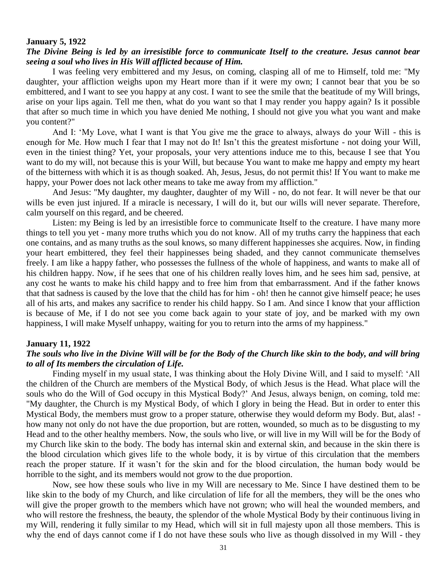### **January 5, 1922**

## *The Divine Being is led by an irresistible force to communicate Itself to the creature. Jesus cannot bear seeing a soul who lives in His Will afflicted because of Him.*

I was feeling very embittered and my Jesus, on coming, clasping all of me to Himself, told me: "My daughter, your affliction weighs upon my Heart more than if it were my own; I cannot bear that you be so embittered, and I want to see you happy at any cost. I want to see the smile that the beatitude of my Will brings, arise on your lips again. Tell me then, what do you want so that I may render you happy again? Is it possible that after so much time in which you have denied Me nothing, I should not give you what you want and make you content?"

And I: 'My Love, what I want is that You give me the grace to always, always do your Will - this is enough for Me. How much I fear that I may not do It! Isn't this the greatest misfortune - not doing your Will, even in the tiniest thing? Yet, your proposals, your very attentions induce me to this, because I see that You want to do my will, not because this is your Will, but because You want to make me happy and empty my heart of the bitterness with which it is as though soaked. Ah, Jesus, Jesus, do not permit this! If You want to make me happy, your Power does not lack other means to take me away from my affliction."

And Jesus: "My daughter, my daughter, daughter of my Will - no, do not fear. It will never be that our wills be even just injured. If a miracle is necessary, I will do it, but our wills will never separate. Therefore, calm yourself on this regard, and be cheered.

Listen: my Being is led by an irresistible force to communicate Itself to the creature. I have many more things to tell you yet - many more truths which you do not know. All of my truths carry the happiness that each one contains, and as many truths as the soul knows, so many different happinesses she acquires. Now, in finding your heart embittered, they feel their happinesses being shaded, and they cannot communicate themselves freely. I am like a happy father, who possesses the fullness of the whole of happiness, and wants to make all of his children happy. Now, if he sees that one of his children really loves him, and he sees him sad, pensive, at any cost he wants to make his child happy and to free him from that embarrassment. And if the father knows that that sadness is caused by the love that the child has for him - oh! then he cannot give himself peace; he uses all of his arts, and makes any sacrifice to render his child happy. So I am. And since I know that your affliction is because of Me, if I do not see you come back again to your state of joy, and be marked with my own happiness, I will make Myself unhappy, waiting for you to return into the arms of my happiness."

#### **January 11, 1922**

## *The souls who live in the Divine Will will be for the Body of the Church like skin to the body, and will bring to all of Its members the circulation of Life.*

Finding myself in my usual state, I was thinking about the Holy Divine Will, and I said to myself: 'All the children of the Church are members of the Mystical Body, of which Jesus is the Head. What place will the souls who do the Will of God occupy in this Mystical Body?' And Jesus, always benign, on coming, told me: "My daughter, the Church is my Mystical Body, of which I glory in being the Head. But in order to enter this Mystical Body, the members must grow to a proper stature, otherwise they would deform my Body. But, alas! how many not only do not have the due proportion, but are rotten, wounded, so much as to be disgusting to my Head and to the other healthy members. Now, the souls who live, or will live in my Will will be for the Body of my Church like skin to the body. The body has internal skin and external skin, and because in the skin there is the blood circulation which gives life to the whole body, it is by virtue of this circulation that the members reach the proper stature. If it wasn't for the skin and for the blood circulation, the human body would be horrible to the sight, and its members would not grow to the due proportion.

Now, see how these souls who live in my Will are necessary to Me. Since I have destined them to be like skin to the body of my Church, and like circulation of life for all the members, they will be the ones who will give the proper growth to the members which have not grown; who will heal the wounded members, and who will restore the freshness, the beauty, the splendor of the whole Mystical Body by their continuous living in my Will, rendering it fully similar to my Head, which will sit in full majesty upon all those members. This is why the end of days cannot come if I do not have these souls who live as though dissolved in my Will - they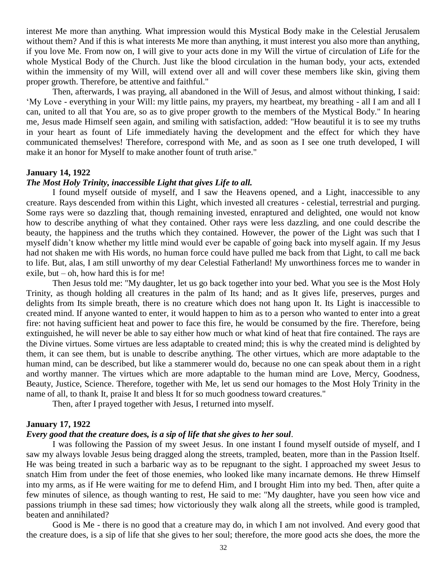interest Me more than anything. What impression would this Mystical Body make in the Celestial Jerusalem without them? And if this is what interests Me more than anything, it must interest you also more than anything, if you love Me. From now on, I will give to your acts done in my Will the virtue of circulation of Life for the whole Mystical Body of the Church. Just like the blood circulation in the human body, your acts, extended within the immensity of my Will, will extend over all and will cover these members like skin, giving them proper growth. Therefore, be attentive and faithful."

Then, afterwards, I was praying, all abandoned in the Will of Jesus, and almost without thinking, I said: 'My Love - everything in your Will: my little pains, my prayers, my heartbeat, my breathing - all I am and all I can, united to all that You are, so as to give proper growth to the members of the Mystical Body." In hearing me, Jesus made Himself seen again, and smiling with satisfaction, added: "How beautiful it is to see my truths in your heart as fount of Life immediately having the development and the effect for which they have communicated themselves! Therefore, correspond with Me, and as soon as I see one truth developed, I will make it an honor for Myself to make another fount of truth arise."

## **January 14, 1922**

### *The Most Holy Trinity, inaccessible Light that gives Life to all.*

I found myself outside of myself, and I saw the Heavens opened, and a Light, inaccessible to any creature. Rays descended from within this Light, which invested all creatures - celestial, terrestrial and purging. Some rays were so dazzling that, though remaining invested, enraptured and delighted, one would not know how to describe anything of what they contained. Other rays were less dazzling, and one could describe the beauty, the happiness and the truths which they contained. However, the power of the Light was such that I myself didn't know whether my little mind would ever be capable of going back into myself again. If my Jesus had not shaken me with His words, no human force could have pulled me back from that Light, to call me back to life. But, alas, I am still unworthy of my dear Celestial Fatherland! My unworthiness forces me to wander in exile, but  $-$  oh, how hard this is for me!

Then Jesus told me: "My daughter, let us go back together into your bed. What you see is the Most Holy Trinity, as though holding all creatures in the palm of Its hand; and as It gives life, preserves, purges and delights from Its simple breath, there is no creature which does not hang upon It. Its Light is inaccessible to created mind. If anyone wanted to enter, it would happen to him as to a person who wanted to enter into a great fire: not having sufficient heat and power to face this fire, he would be consumed by the fire. Therefore, being extinguished, he will never be able to say either how much or what kind of heat that fire contained. The rays are the Divine virtues. Some virtues are less adaptable to created mind; this is why the created mind is delighted by them, it can see them, but is unable to describe anything. The other virtues, which are more adaptable to the human mind, can be described, but like a stammerer would do, because no one can speak about them in a right and worthy manner. The virtues which are more adaptable to the human mind are Love, Mercy, Goodness, Beauty, Justice, Science. Therefore, together with Me, let us send our homages to the Most Holy Trinity in the name of all, to thank It, praise It and bless It for so much goodness toward creatures."

Then, after I prayed together with Jesus, I returned into myself.

### **January 17, 1922**

### *Every good that the creature does, is a sip of life that she gives to her soul.*

I was following the Passion of my sweet Jesus. In one instant I found myself outside of myself, and I saw my always lovable Jesus being dragged along the streets, trampled, beaten, more than in the Passion Itself. He was being treated in such a barbaric way as to be repugnant to the sight. I approached my sweet Jesus to snatch Him from under the feet of those enemies, who looked like many incarnate demons. He threw Himself into my arms, as if He were waiting for me to defend Him, and I brought Him into my bed. Then, after quite a few minutes of silence, as though wanting to rest, He said to me: "My daughter, have you seen how vice and passions triumph in these sad times; how victoriously they walk along all the streets, while good is trampled, beaten and annihilated?

Good is Me - there is no good that a creature may do, in which I am not involved. And every good that the creature does, is a sip of life that she gives to her soul; therefore, the more good acts she does, the more the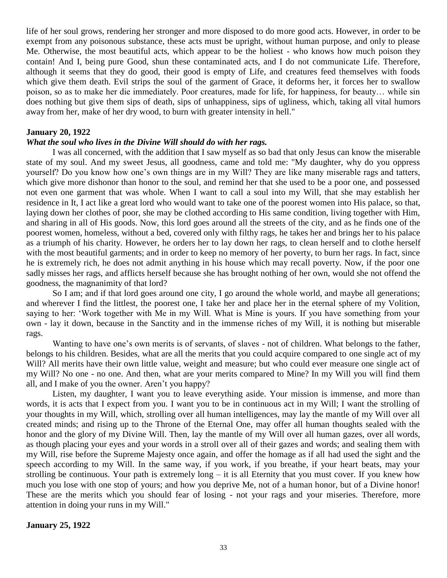life of her soul grows, rendering her stronger and more disposed to do more good acts. However, in order to be exempt from any poisonous substance, these acts must be upright, without human purpose, and only to please Me. Otherwise, the most beautiful acts, which appear to be the holiest - who knows how much poison they contain! And I, being pure Good, shun these contaminated acts, and I do not communicate Life. Therefore, although it seems that they do good, their good is empty of Life, and creatures feed themselves with foods which give them death. Evil strips the soul of the garment of Grace, it deforms her, it forces her to swallow poison, so as to make her die immediately. Poor creatures, made for life, for happiness, for beauty… while sin does nothing but give them sips of death, sips of unhappiness, sips of ugliness, which, taking all vital humors away from her, make of her dry wood, to burn with greater intensity in hell."

## **January 20, 1922**

## *What the soul who lives in the Divine Will should do with her rags.*

I was all concerned, with the addition that I saw myself as so bad that only Jesus can know the miserable state of my soul. And my sweet Jesus, all goodness, came and told me: "My daughter, why do you oppress yourself? Do you know how one's own things are in my Will? They are like many miserable rags and tatters, which give more dishonor than honor to the soul, and remind her that she used to be a poor one, and possessed not even one garment that was whole. When I want to call a soul into my Will, that she may establish her residence in It, I act like a great lord who would want to take one of the poorest women into His palace, so that, laying down her clothes of poor, she may be clothed according to His same condition, living together with Him, and sharing in all of His goods. Now, this lord goes around all the streets of the city, and as he finds one of the poorest women, homeless, without a bed, covered only with filthy rags, he takes her and brings her to his palace as a triumph of his charity. However, he orders her to lay down her rags, to clean herself and to clothe herself with the most beautiful garments; and in order to keep no memory of her poverty, to burn her rags. In fact, since he is extremely rich, he does not admit anything in his house which may recall poverty. Now, if the poor one sadly misses her rags, and afflicts herself because she has brought nothing of her own, would she not offend the goodness, the magnanimity of that lord?

So I am; and if that lord goes around one city, I go around the whole world, and maybe all generations; and wherever I find the littlest, the poorest one, I take her and place her in the eternal sphere of my Volition, saying to her: 'Work together with Me in my Will. What is Mine is yours. If you have something from your own - lay it down, because in the Sanctity and in the immense riches of my Will, it is nothing but miserable rags.

Wanting to have one's own merits is of servants, of slaves - not of children. What belongs to the father, belongs to his children. Besides, what are all the merits that you could acquire compared to one single act of my Will? All merits have their own little value, weight and measure; but who could ever measure one single act of my Will? No one - no one. And then, what are your merits compared to Mine? In my Will you will find them all, and I make of you the owner. Aren't you happy?

Listen, my daughter, I want you to leave everything aside. Your mission is immense, and more than words, it is acts that I expect from you. I want you to be in continuous act in my Will; I want the strolling of your thoughts in my Will, which, strolling over all human intelligences, may lay the mantle of my Will over all created minds; and rising up to the Throne of the Eternal One, may offer all human thoughts sealed with the honor and the glory of my Divine Will. Then, lay the mantle of my Will over all human gazes, over all words, as though placing your eyes and your words in a stroll over all of their gazes and words; and sealing them with my Will, rise before the Supreme Majesty once again, and offer the homage as if all had used the sight and the speech according to my Will. In the same way, if you work, if you breathe, if your heart beats, may your strolling be continuous. Your path is extremely  $\log - i$  it is all Eternity that you must cover. If you knew how much you lose with one stop of yours; and how you deprive Me, not of a human honor, but of a Divine honor! These are the merits which you should fear of losing - not your rags and your miseries. Therefore, more attention in doing your runs in my Will."

### **January 25, 1922**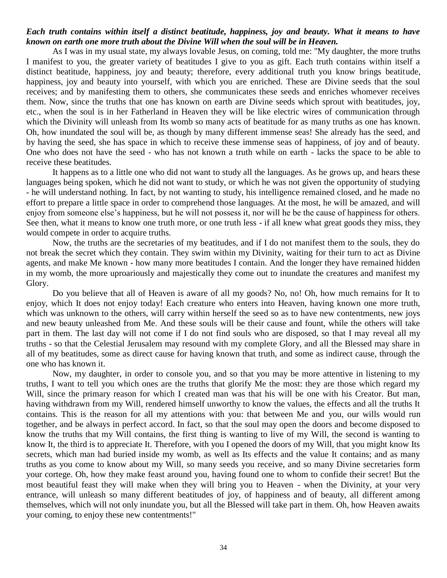## *Each truth contains within itself a distinct beatitude, happiness, joy and beauty. What it means to have known on earth one more truth about the Divine Will when the soul will be in Heaven.*

As I was in my usual state, my always lovable Jesus, on coming, told me: "My daughter, the more truths I manifest to you, the greater variety of beatitudes I give to you as gift. Each truth contains within itself a distinct beatitude, happiness, joy and beauty; therefore, every additional truth you know brings beatitude, happiness, joy and beauty into yourself, with which you are enriched. These are Divine seeds that the soul receives; and by manifesting them to others, she communicates these seeds and enriches whomever receives them. Now, since the truths that one has known on earth are Divine seeds which sprout with beatitudes, joy, etc., when the soul is in her Fatherland in Heaven they will be like electric wires of communication through which the Divinity will unleash from Its womb so many acts of beatitude for as many truths as one has known. Oh, how inundated the soul will be, as though by many different immense seas! She already has the seed, and by having the seed, she has space in which to receive these immense seas of happiness, of joy and of beauty. One who does not have the seed - who has not known a truth while on earth - lacks the space to be able to receive these beatitudes.

It happens as to a little one who did not want to study all the languages. As he grows up, and hears these languages being spoken, which he did not want to study, or which he was not given the opportunity of studying - he will understand nothing. In fact, by not wanting to study, his intelligence remained closed, and he made no effort to prepare a little space in order to comprehend those languages. At the most, he will be amazed, and will enjoy from someone else's happiness, but he will not possess it, nor will he be the cause of happiness for others. See then, what it means to know one truth more, or one truth less - if all knew what great goods they miss, they would compete in order to acquire truths.

Now, the truths are the secretaries of my beatitudes, and if I do not manifest them to the souls, they do not break the secret which they contain. They swim within my Divinity, waiting for their turn to act as Divine agents, and make Me known - how many more beatitudes I contain. And the longer they have remained hidden in my womb, the more uproariously and majestically they come out to inundate the creatures and manifest my Glory.

Do you believe that all of Heaven is aware of all my goods? No, no! Oh, how much remains for It to enjoy, which It does not enjoy today! Each creature who enters into Heaven, having known one more truth, which was unknown to the others, will carry within herself the seed so as to have new contentments, new joys and new beauty unleashed from Me. And these souls will be their cause and fount, while the others will take part in them. The last day will not come if I do not find souls who are disposed, so that I may reveal all my truths - so that the Celestial Jerusalem may resound with my complete Glory, and all the Blessed may share in all of my beatitudes, some as direct cause for having known that truth, and some as indirect cause, through the one who has known it.

Now, my daughter, in order to console you, and so that you may be more attentive in listening to my truths, I want to tell you which ones are the truths that glorify Me the most: they are those which regard my Will, since the primary reason for which I created man was that his will be one with his Creator. But man, having withdrawn from my Will, rendered himself unworthy to know the values, the effects and all the truths It contains. This is the reason for all my attentions with you: that between Me and you, our wills would run together, and be always in perfect accord. In fact, so that the soul may open the doors and become disposed to know the truths that my Will contains, the first thing is wanting to live of my Will, the second is wanting to know It, the third is to appreciate It. Therefore, with you I opened the doors of my Will, that you might know Its secrets, which man had buried inside my womb, as well as Its effects and the value It contains; and as many truths as you come to know about my Will, so many seeds you receive, and so many Divine secretaries form your cortege. Oh, how they make feast around you, having found one to whom to confide their secret! But the most beautiful feast they will make when they will bring you to Heaven - when the Divinity, at your very entrance, will unleash so many different beatitudes of joy, of happiness and of beauty, all different among themselves, which will not only inundate you, but all the Blessed will take part in them. Oh, how Heaven awaits your coming, to enjoy these new contentments!"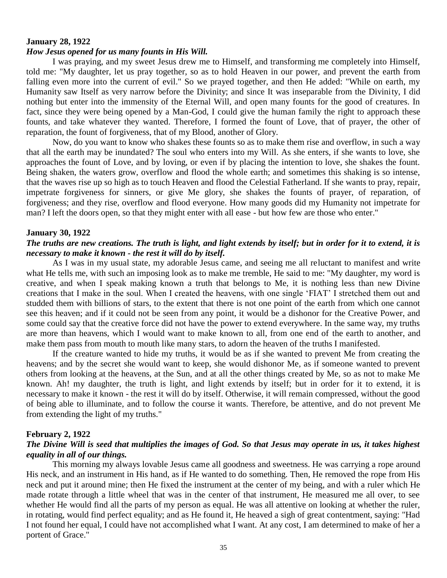## **January 28, 1922**

### *How Jesus opened for us many founts in His Will.*

I was praying, and my sweet Jesus drew me to Himself, and transforming me completely into Himself, told me: "My daughter, let us pray together, so as to hold Heaven in our power, and prevent the earth from falling even more into the current of evil." So we prayed together, and then He added: "While on earth, my Humanity saw Itself as very narrow before the Divinity; and since It was inseparable from the Divinity, I did nothing but enter into the immensity of the Eternal Will, and open many founts for the good of creatures. In fact, since they were being opened by a Man-God, I could give the human family the right to approach these founts, and take whatever they wanted. Therefore, I formed the fount of Love, that of prayer, the other of reparation, the fount of forgiveness, that of my Blood, another of Glory.

Now, do you want to know who shakes these founts so as to make them rise and overflow, in such a way that all the earth may be inundated? The soul who enters into my Will. As she enters, if she wants to love, she approaches the fount of Love, and by loving, or even if by placing the intention to love, she shakes the fount. Being shaken, the waters grow, overflow and flood the whole earth; and sometimes this shaking is so intense, that the waves rise up so high as to touch Heaven and flood the Celestial Fatherland. If she wants to pray, repair, impetrate forgiveness for sinners, or give Me glory, she shakes the founts of prayer, of reparation, of forgiveness; and they rise, overflow and flood everyone. How many goods did my Humanity not impetrate for man? I left the doors open, so that they might enter with all ease - but how few are those who enter."

#### **January 30, 1922**

## *The truths are new creations. The truth is light, and light extends by itself; but in order for it to extend, it is necessary to make it known - the rest it will do by itself.*

As I was in my usual state, my adorable Jesus came, and seeing me all reluctant to manifest and write what He tells me, with such an imposing look as to make me tremble, He said to me: "My daughter, my word is creative, and when I speak making known a truth that belongs to Me, it is nothing less than new Divine creations that I make in the soul. When I created the heavens, with one single 'FIAT' I stretched them out and studded them with billions of stars, to the extent that there is not one point of the earth from which one cannot see this heaven; and if it could not be seen from any point, it would be a dishonor for the Creative Power, and some could say that the creative force did not have the power to extend everywhere. In the same way, my truths are more than heavens, which I would want to make known to all, from one end of the earth to another, and make them pass from mouth to mouth like many stars, to adorn the heaven of the truths I manifested.

If the creature wanted to hide my truths, it would be as if she wanted to prevent Me from creating the heavens; and by the secret she would want to keep, she would dishonor Me, as if someone wanted to prevent others from looking at the heavens, at the Sun, and at all the other things created by Me, so as not to make Me known. Ah! my daughter, the truth is light, and light extends by itself; but in order for it to extend, it is necessary to make it known - the rest it will do by itself. Otherwise, it will remain compressed, without the good of being able to illuminate, and to follow the course it wants. Therefore, be attentive, and do not prevent Me from extending the light of my truths."

#### **February 2, 1922**

## *The Divine Will is seed that multiplies the images of God. So that Jesus may operate in us, it takes highest equality in all of our things.*

This morning my always lovable Jesus came all goodness and sweetness. He was carrying a rope around His neck, and an instrument in His hand, as if He wanted to do something. Then, He removed the rope from His neck and put it around mine; then He fixed the instrument at the center of my being, and with a ruler which He made rotate through a little wheel that was in the center of that instrument, He measured me all over, to see whether He would find all the parts of my person as equal. He was all attentive on looking at whether the ruler, in rotating, would find perfect equality; and as He found it, He heaved a sigh of great contentment, saying: "Had I not found her equal, I could have not accomplished what I want. At any cost, I am determined to make of her a portent of Grace."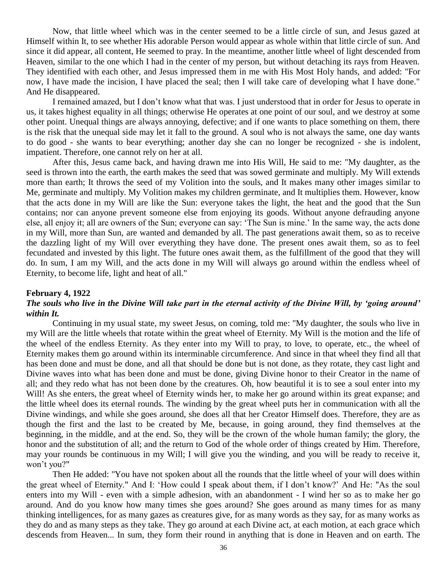Now, that little wheel which was in the center seemed to be a little circle of sun, and Jesus gazed at Himself within It, to see whether His adorable Person would appear as whole within that little circle of sun. And since it did appear, all content, He seemed to pray. In the meantime, another little wheel of light descended from Heaven, similar to the one which I had in the center of my person, but without detaching its rays from Heaven. They identified with each other, and Jesus impressed them in me with His Most Holy hands, and added: "For now, I have made the incision, I have placed the seal; then I will take care of developing what I have done." And He disappeared.

I remained amazed, but I don't know what that was. I just understood that in order for Jesus to operate in us, it takes highest equality in all things; otherwise He operates at one point of our soul, and we destroy at some other point. Unequal things are always annoying, defective; and if one wants to place something on them, there is the risk that the unequal side may let it fall to the ground. A soul who is not always the same, one day wants to do good - she wants to bear everything; another day she can no longer be recognized - she is indolent, impatient. Therefore, one cannot rely on her at all.

After this, Jesus came back, and having drawn me into His Will, He said to me: "My daughter, as the seed is thrown into the earth, the earth makes the seed that was sowed germinate and multiply. My Will extends more than earth; It throws the seed of my Volition into the souls, and It makes many other images similar to Me, germinate and multiply. My Volition makes my children germinate, and It multiplies them. However, know that the acts done in my Will are like the Sun: everyone takes the light, the heat and the good that the Sun contains; nor can anyone prevent someone else from enjoying its goods. Without anyone defrauding anyone else, all enjoy it; all are owners of the Sun; everyone can say: 'The Sun is mine.' In the same way, the acts done in my Will, more than Sun, are wanted and demanded by all. The past generations await them, so as to receive the dazzling light of my Will over everything they have done. The present ones await them, so as to feel fecundated and invested by this light. The future ones await them, as the fulfillment of the good that they will do. In sum, I am my Will, and the acts done in my Will will always go around within the endless wheel of Eternity, to become life, light and heat of all."

### **February 4, 1922**

## *The souls who live in the Divine Will take part in the eternal activity of the Divine Will, by 'going around' within It.*

Continuing in my usual state, my sweet Jesus, on coming, told me: "My daughter, the souls who live in my Will are the little wheels that rotate within the great wheel of Eternity. My Will is the motion and the life of the wheel of the endless Eternity. As they enter into my Will to pray, to love, to operate, etc., the wheel of Eternity makes them go around within its interminable circumference. And since in that wheel they find all that has been done and must be done, and all that should be done but is not done, as they rotate, they cast light and Divine waves into what has been done and must be done, giving Divine honor to their Creator in the name of all; and they redo what has not been done by the creatures. Oh, how beautiful it is to see a soul enter into my Will! As she enters, the great wheel of Eternity winds her, to make her go around within its great expanse; and the little wheel does its eternal rounds. The winding by the great wheel puts her in communication with all the Divine windings, and while she goes around, she does all that her Creator Himself does. Therefore, they are as though the first and the last to be created by Me, because, in going around, they find themselves at the beginning, in the middle, and at the end. So, they will be the crown of the whole human family; the glory, the honor and the substitution of all; and the return to God of the whole order of things created by Him. Therefore, may your rounds be continuous in my Will; I will give you the winding, and you will be ready to receive it, won't you?"

Then He added: "You have not spoken about all the rounds that the little wheel of your will does within the great wheel of Eternity." And I: 'How could I speak about them, if I don't know?' And He: "As the soul enters into my Will - even with a simple adhesion, with an abandonment - I wind her so as to make her go around. And do you know how many times she goes around? She goes around as many times for as many thinking intelligences, for as many gazes as creatures give, for as many words as they say, for as many works as they do and as many steps as they take. They go around at each Divine act, at each motion, at each grace which descends from Heaven... In sum, they form their round in anything that is done in Heaven and on earth. The